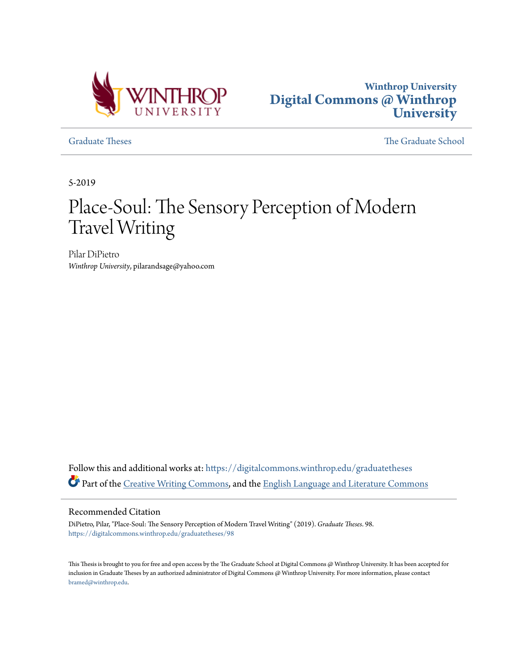



[Graduate Theses](https://digitalcommons.winthrop.edu/graduatetheses?utm_source=digitalcommons.winthrop.edu%2Fgraduatetheses%2F98&utm_medium=PDF&utm_campaign=PDFCoverPages) [The Graduate School](https://digitalcommons.winthrop.edu/graduateschool?utm_source=digitalcommons.winthrop.edu%2Fgraduatetheses%2F98&utm_medium=PDF&utm_campaign=PDFCoverPages)

5-2019

# Place-Soul: The Sensory Perception of Modern Travel Writing

Pilar DiPietro *Winthrop University*, pilarandsage@yahoo.com

Follow this and additional works at: [https://digitalcommons.winthrop.edu/graduatetheses](https://digitalcommons.winthrop.edu/graduatetheses?utm_source=digitalcommons.winthrop.edu%2Fgraduatetheses%2F98&utm_medium=PDF&utm_campaign=PDFCoverPages) Part of the [Creative Writing Commons](http://network.bepress.com/hgg/discipline/574?utm_source=digitalcommons.winthrop.edu%2Fgraduatetheses%2F98&utm_medium=PDF&utm_campaign=PDFCoverPages), and the [English Language and Literature Commons](http://network.bepress.com/hgg/discipline/455?utm_source=digitalcommons.winthrop.edu%2Fgraduatetheses%2F98&utm_medium=PDF&utm_campaign=PDFCoverPages)

#### Recommended Citation

DiPietro, Pilar, "Place-Soul: The Sensory Perception of Modern Travel Writing" (2019). *Graduate Theses*. 98. [https://digitalcommons.winthrop.edu/graduatetheses/98](https://digitalcommons.winthrop.edu/graduatetheses/98?utm_source=digitalcommons.winthrop.edu%2Fgraduatetheses%2F98&utm_medium=PDF&utm_campaign=PDFCoverPages)

This Thesis is brought to you for free and open access by the The Graduate School at Digital Commons @ Winthrop University. It has been accepted for inclusion in Graduate Theses by an authorized administrator of Digital Commons @ Winthrop University. For more information, please contact [bramed@winthrop.edu.](mailto:bramed@winthrop.edu)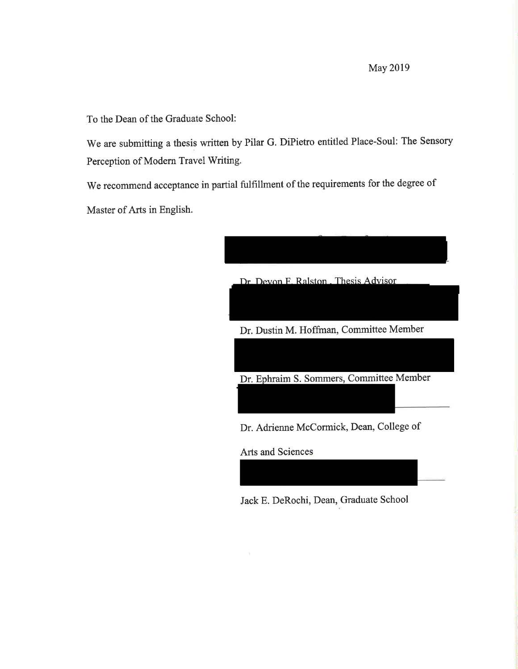**May 2019** 

To the Dean of the Graduate School:

We are submitting a thesis written by Pilar G. DiPietro entitled Place-Soul: The Sensory Perception of Modern Travel Writing.

We recommend acceptance in partial fulfillment of the requirements for the degree of Master of Arts in English.



Jack E. DeRochi, Dean, Graduate School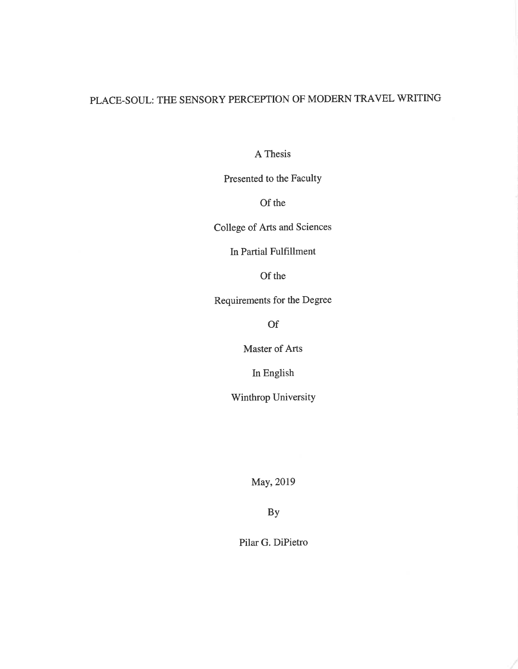## PLACE-SOUL: THE SENSORY PERCEPTION OF MODERN TRAVEL WRITING

A Thesis

Presented to the Faculty

Of the

College of Arts and Sciences

In Partial Fulfillment

Of the

Requirements for the Degree

**Of** 

Master of Arts

In English

Winthrop University

May, 2019

**By** 

Pilar G. DiPietro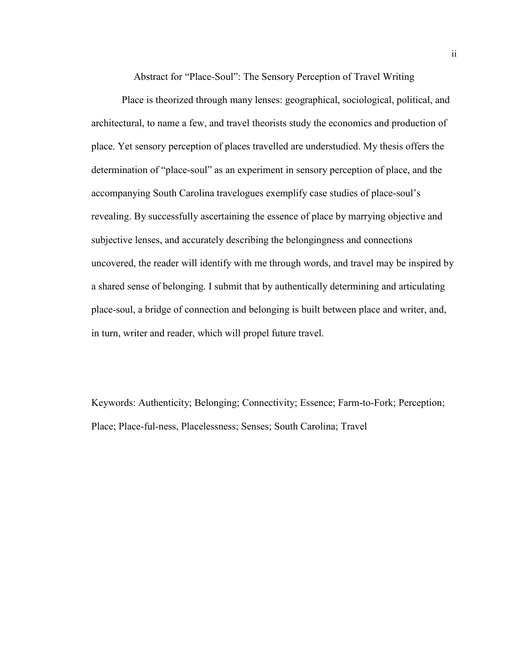Abstract for "Place-Soul": The Sensory Perception of Travel Writing

Place is theorized through many lenses: geographical, sociological, political, and architectural, to name a few, and travel theorists study the economics and production of place. Yet sensory perception of places travelled are understudied. My thesis offers the determination of "place-soul" as an experiment in sensory perception of place, and the accompanying South Carolina travelogues exemplify case studies of place-soul's revealing. By successfully ascertaining the essence of place by marrying objective and subjective lenses, and accurately describing the belongingness and connections uncovered, the reader will identify with me through words, and travel may be inspired by a shared sense of belonging. I submit that by authentically determining and articulating place-soul, a bridge of connection and belonging is built between place and writer, and, in turn, writer and reader, which will propel future travel.

Keywords: Authenticity; Belonging; Connectivity; Essence; Farm-to-Fork; Perception; Place; Place-ful-ness, Placelessness; Senses; South Carolina; Travel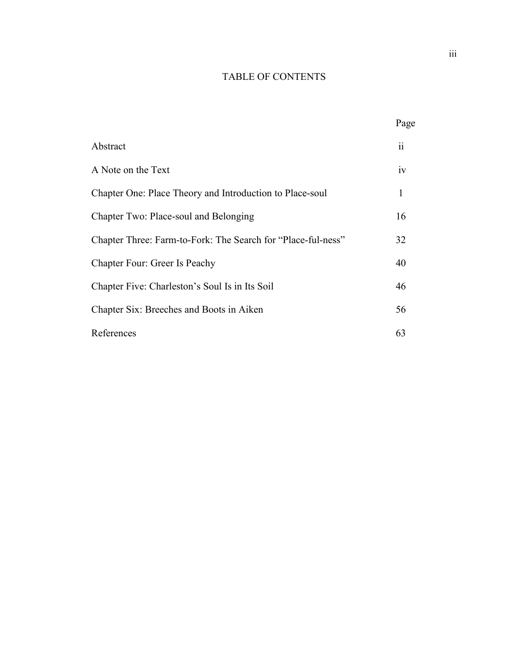### TABLE OF CONTENTS

|                                                              | Page |
|--------------------------------------------------------------|------|
| Abstract                                                     | 11   |
| A Note on the Text                                           | iv   |
| Chapter One: Place Theory and Introduction to Place-soul     | 1    |
| Chapter Two: Place-soul and Belonging                        | 16   |
| Chapter Three: Farm-to-Fork: The Search for "Place-ful-ness" | 32   |
| Chapter Four: Greer Is Peachy                                | 40   |
| Chapter Five: Charleston's Soul Is in Its Soil               | 46   |
| Chapter Six: Breeches and Boots in Aiken                     | 56   |
| References                                                   | 63   |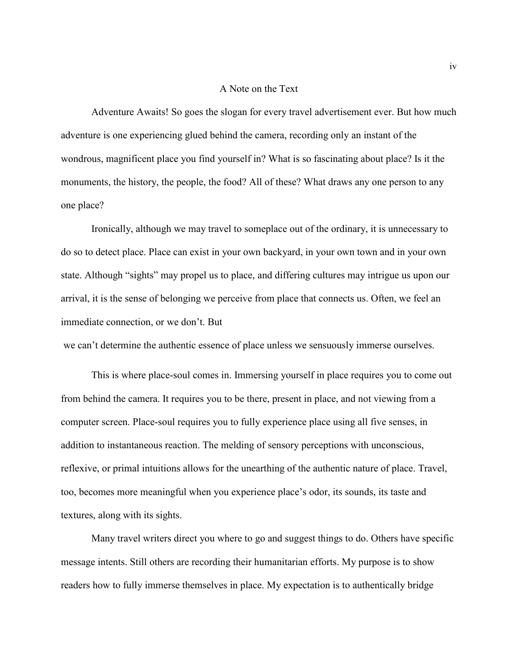#### A Note on the Text

Adventure Awaits! So goes the slogan for every travel advertisement ever. But how much adventure is one experiencing glued behind the camera, recording only an instant of the wondrous, magnificent place you find yourself in? What is so fascinating about place? Is it the monuments, the history, the people, the food? All of these? What draws any one person to any one place?

Ironically, although we may travel to someplace out of the ordinary, it is unnecessary to do so to detect place. Place can exist in your own backyard, in your own town and in your own state. Although "sights" may propel us to place, and differing cultures may intrigue us upon our arrival, it is the sense of belonging we perceive from place that connects us. Often, we feel an immediate connection, or we don't. But

we can't determine the authentic essence of place unless we sensuously immerse ourselves.

This is where place-soul comes in. Immersing yourself in place requires you to come out from behind the camera. It requires you to be there, present in place, and not viewing from a computer screen. Place-soul requires you to fully experience place using all five senses, in addition to instantaneous reaction. The melding of sensory perceptions with unconscious, reflexive, or primal intuitions allows for the unearthing of the authentic nature of place. Travel, too, becomes more meaningful when you experience place's odor, its sounds, its taste and textures, along with its sights.

Many travel writers direct you where to go and suggest things to do. Others have specific message intents. Still others are recording their humanitarian efforts. My purpose is to show readers how to fully immerse themselves in place. My expectation is to authentically bridge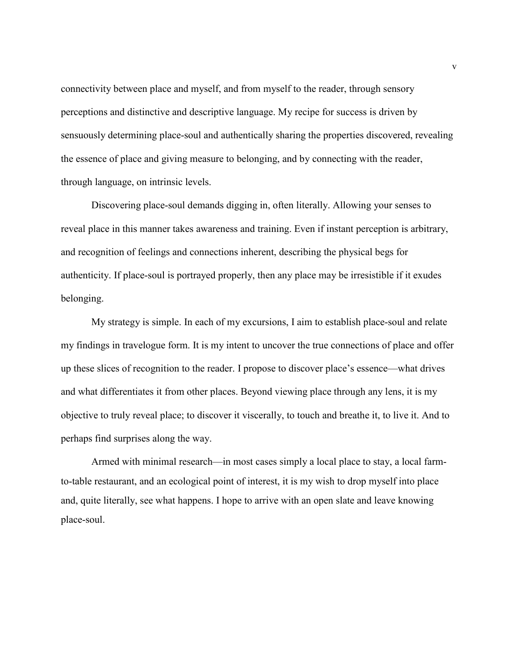connectivity between place and myself, and from myself to the reader, through sensory perceptions and distinctive and descriptive language. My recipe for success is driven by sensuously determining place-soul and authentically sharing the properties discovered, revealing the essence of place and giving measure to belonging, and by connecting with the reader, through language, on intrinsic levels.

Discovering place-soul demands digging in, often literally. Allowing your senses to reveal place in this manner takes awareness and training. Even if instant perception is arbitrary, and recognition of feelings and connections inherent, describing the physical begs for authenticity. If place-soul is portrayed properly, then any place may be irresistible if it exudes belonging.

My strategy is simple. In each of my excursions, I aim to establish place-soul and relate my findings in travelogue form. It is my intent to uncover the true connections of place and offer up these slices of recognition to the reader. I propose to discover place's essence—what drives and what differentiates it from other places. Beyond viewing place through any lens, it is my objective to truly reveal place; to discover it viscerally, to touch and breathe it, to live it. And to perhaps find surprises along the way.

Armed with minimal research—in most cases simply a local place to stay, a local farmto-table restaurant, and an ecological point of interest, it is my wish to drop myself into place and, quite literally, see what happens. I hope to arrive with an open slate and leave knowing place-soul.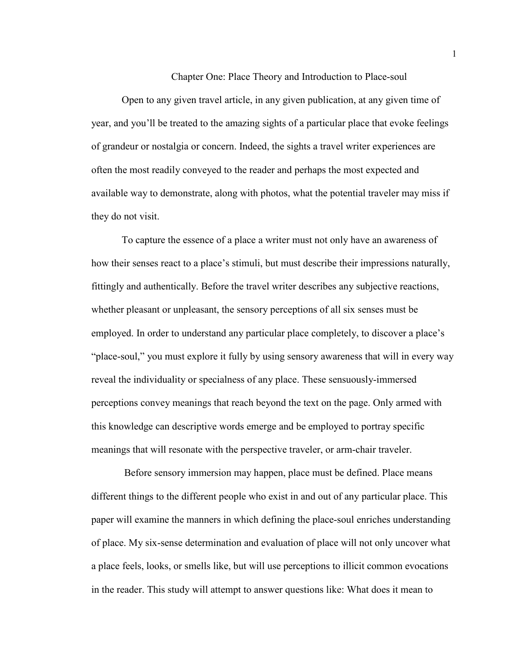Chapter One: Place Theory and Introduction to Place-soul

Open to any given travel article, in any given publication, at any given time of year, and you'll be treated to the amazing sights of a particular place that evoke feelings of grandeur or nostalgia or concern. Indeed, the sights a travel writer experiences are often the most readily conveyed to the reader and perhaps the most expected and available way to demonstrate, along with photos, what the potential traveler may miss if they do not visit.

To capture the essence of a place a writer must not only have an awareness of how their senses react to a place's stimuli, but must describe their impressions naturally, fittingly and authentically. Before the travel writer describes any subjective reactions, whether pleasant or unpleasant, the sensory perceptions of all six senses must be employed. In order to understand any particular place completely, to discover a place's "place-soul," you must explore it fully by using sensory awareness that will in every way reveal the individuality or specialness of any place. These sensuously-immersed perceptions convey meanings that reach beyond the text on the page. Only armed with this knowledge can descriptive words emerge and be employed to portray specific meanings that will resonate with the perspective traveler, or arm-chair traveler.

Before sensory immersion may happen, place must be defined. Place means different things to the different people who exist in and out of any particular place. This paper will examine the manners in which defining the place-soul enriches understanding of place. My six-sense determination and evaluation of place will not only uncover what a place feels, looks, or smells like, but will use perceptions to illicit common evocations in the reader. This study will attempt to answer questions like: What does it mean to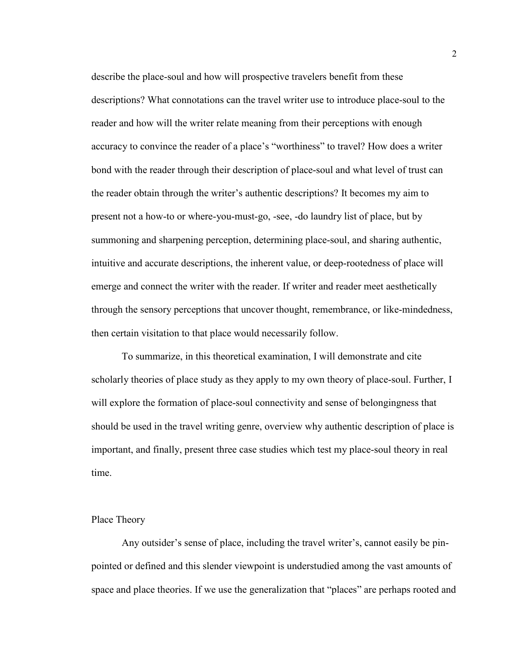describe the place-soul and how will prospective travelers benefit from these descriptions? What connotations can the travel writer use to introduce place-soul to the reader and how will the writer relate meaning from their perceptions with enough accuracy to convince the reader of a place's "worthiness" to travel? How does a writer bond with the reader through their description of place-soul and what level of trust can the reader obtain through the writer's authentic descriptions? It becomes my aim to present not a how-to or where-you-must-go, -see, -do laundry list of place, but by summoning and sharpening perception, determining place-soul, and sharing authentic, intuitive and accurate descriptions, the inherent value, or deep-rootedness of place will emerge and connect the writer with the reader. If writer and reader meet aesthetically through the sensory perceptions that uncover thought, remembrance, or like-mindedness, then certain visitation to that place would necessarily follow.

To summarize, in this theoretical examination, I will demonstrate and cite scholarly theories of place study as they apply to my own theory of place-soul. Further, I will explore the formation of place-soul connectivity and sense of belongingness that should be used in the travel writing genre, overview why authentic description of place is important, and finally, present three case studies which test my place-soul theory in real time.

#### Place Theory

Any outsider's sense of place, including the travel writer's, cannot easily be pinpointed or defined and this slender viewpoint is understudied among the vast amounts of space and place theories. If we use the generalization that "places" are perhaps rooted and

2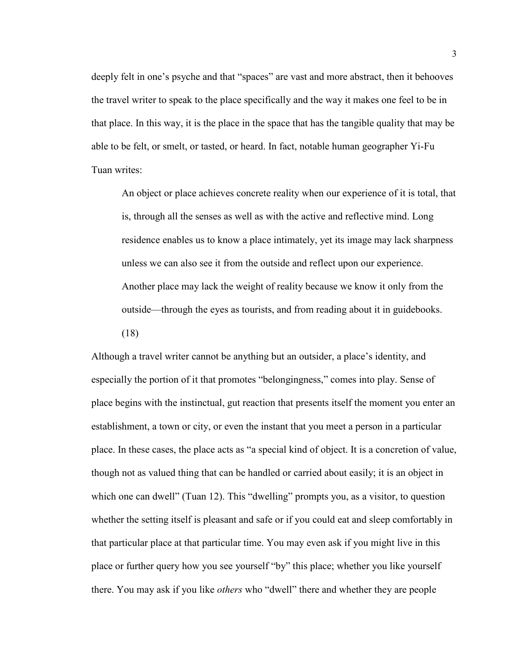deeply felt in one's psyche and that "spaces" are vast and more abstract, then it behooves the travel writer to speak to the place specifically and the way it makes one feel to be in that place. In this way, it is the place in the space that has the tangible quality that may be able to be felt, or smelt, or tasted, or heard. In fact, notable human geographer Yi-Fu Tuan writes:

An object or place achieves concrete reality when our experience of it is total, that is, through all the senses as well as with the active and reflective mind. Long residence enables us to know a place intimately, yet its image may lack sharpness unless we can also see it from the outside and reflect upon our experience. Another place may lack the weight of reality because we know it only from the outside—through the eyes as tourists, and from reading about it in guidebooks. (18)

Although a travel writer cannot be anything but an outsider, a place's identity, and especially the portion of it that promotes "belongingness," comes into play. Sense of place begins with the instinctual, gut reaction that presents itself the moment you enter an establishment, a town or city, or even the instant that you meet a person in a particular place. In these cases, the place acts as "a special kind of object. It is a concretion of value, though not as valued thing that can be handled or carried about easily; it is an object in which one can dwell" (Tuan 12). This "dwelling" prompts you, as a visitor, to question whether the setting itself is pleasant and safe or if you could eat and sleep comfortably in that particular place at that particular time. You may even ask if you might live in this place or further query how you see yourself "by" this place; whether you like yourself there. You may ask if you like *others* who "dwell" there and whether they are people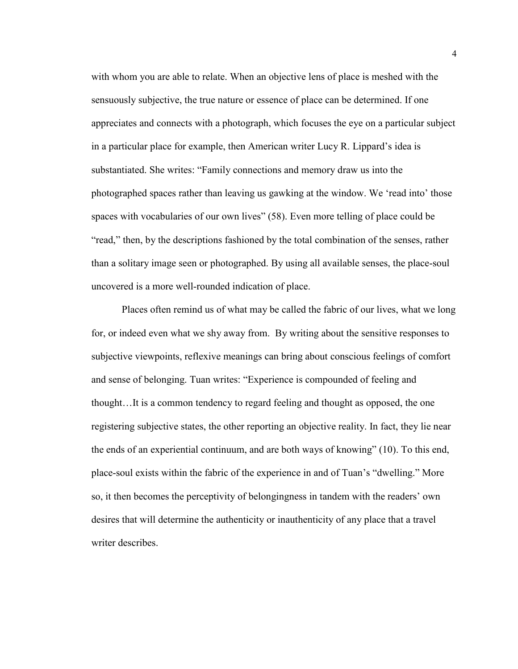with whom you are able to relate. When an objective lens of place is meshed with the sensuously subjective, the true nature or essence of place can be determined. If one appreciates and connects with a photograph, which focuses the eye on a particular subject in a particular place for example, then American writer Lucy R. Lippard's idea is substantiated. She writes: "Family connections and memory draw us into the photographed spaces rather than leaving us gawking at the window. We 'read into' those spaces with vocabularies of our own lives" (58). Even more telling of place could be "read," then, by the descriptions fashioned by the total combination of the senses, rather than a solitary image seen or photographed. By using all available senses, the place-soul uncovered is a more well-rounded indication of place.

Places often remind us of what may be called the fabric of our lives, what we long for, or indeed even what we shy away from. By writing about the sensitive responses to subjective viewpoints, reflexive meanings can bring about conscious feelings of comfort and sense of belonging. Tuan writes: "Experience is compounded of feeling and thought…It is a common tendency to regard feeling and thought as opposed, the one registering subjective states, the other reporting an objective reality. In fact, they lie near the ends of an experiential continuum, and are both ways of knowing" (10). To this end, place-soul exists within the fabric of the experience in and of Tuan's "dwelling." More so, it then becomes the perceptivity of belongingness in tandem with the readers' own desires that will determine the authenticity or inauthenticity of any place that a travel writer describes.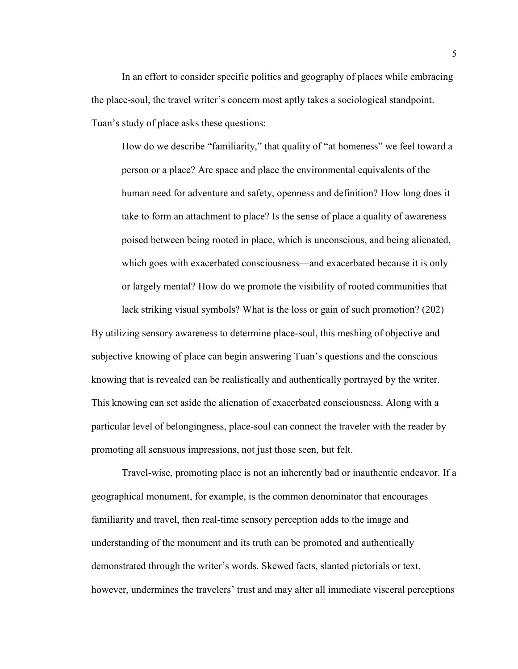In an effort to consider specific politics and geography of places while embracing the place-soul, the travel writer's concern most aptly takes a sociological standpoint. Tuan's study of place asks these questions:

How do we describe "familiarity," that quality of "at homeness" we feel toward a person or a place? Are space and place the environmental equivalents of the human need for adventure and safety, openness and definition? How long does it take to form an attachment to place? Is the sense of place a quality of awareness poised between being rooted in place, which is unconscious, and being alienated, which goes with exacerbated consciousness—and exacerbated because it is only or largely mental? How do we promote the visibility of rooted communities that

lack striking visual symbols? What is the loss or gain of such promotion? (202)

By utilizing sensory awareness to determine place-soul, this meshing of objective and subjective knowing of place can begin answering Tuan's questions and the conscious knowing that is revealed can be realistically and authentically portrayed by the writer. This knowing can set aside the alienation of exacerbated consciousness. Along with a particular level of belongingness, place-soul can connect the traveler with the reader by promoting all sensuous impressions, not just those seen, but felt.

Travel-wise, promoting place is not an inherently bad or inauthentic endeavor. If a geographical monument, for example, is the common denominator that encourages familiarity and travel, then real-time sensory perception adds to the image and understanding of the monument and its truth can be promoted and authentically demonstrated through the writer's words. Skewed facts, slanted pictorials or text, however, undermines the travelers' trust and may alter all immediate visceral perceptions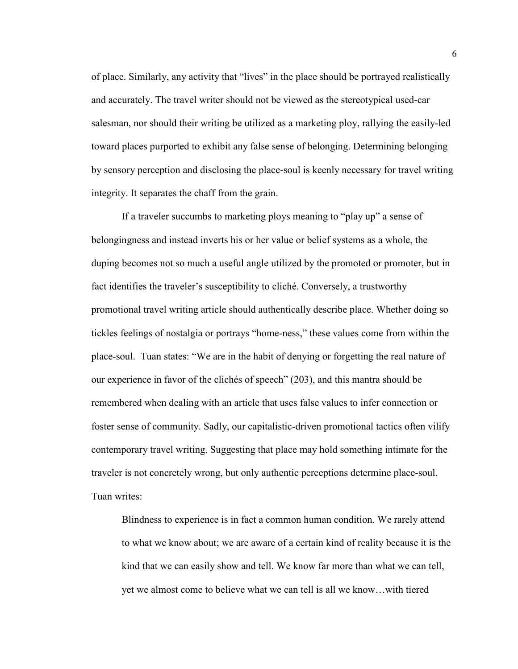of place. Similarly, any activity that "lives" in the place should be portrayed realistically and accurately. The travel writer should not be viewed as the stereotypical used-car salesman, nor should their writing be utilized as a marketing ploy, rallying the easily-led toward places purported to exhibit any false sense of belonging. Determining belonging by sensory perception and disclosing the place-soul is keenly necessary for travel writing integrity. It separates the chaff from the grain.

If a traveler succumbs to marketing ploys meaning to "play up" a sense of belongingness and instead inverts his or her value or belief systems as a whole, the duping becomes not so much a useful angle utilized by the promoted or promoter, but in fact identifies the traveler's susceptibility to cliché. Conversely, a trustworthy promotional travel writing article should authentically describe place. Whether doing so tickles feelings of nostalgia or portrays "home-ness," these values come from within the place-soul. Tuan states: "We are in the habit of denying or forgetting the real nature of our experience in favor of the clichés of speech" (203), and this mantra should be remembered when dealing with an article that uses false values to infer connection or foster sense of community. Sadly, our capitalistic-driven promotional tactics often vilify contemporary travel writing. Suggesting that place may hold something intimate for the traveler is not concretely wrong, but only authentic perceptions determine place-soul. Tuan writes:

Blindness to experience is in fact a common human condition. We rarely attend to what we know about; we are aware of a certain kind of reality because it is the kind that we can easily show and tell. We know far more than what we can tell, yet we almost come to believe what we can tell is all we know…with tiered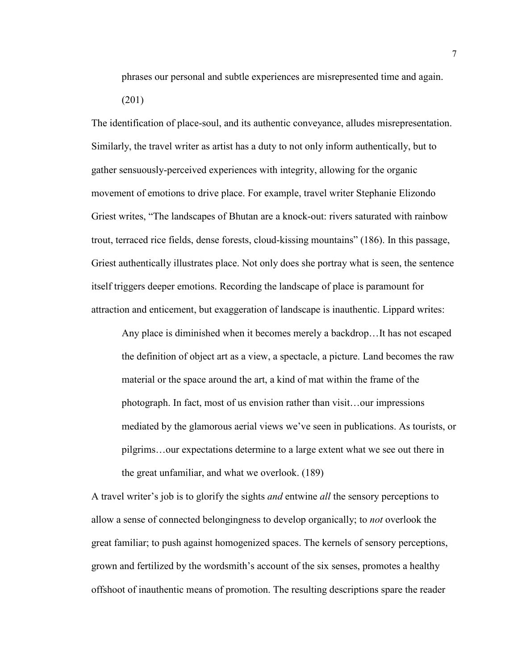phrases our personal and subtle experiences are misrepresented time and again. (201)

The identification of place-soul, and its authentic conveyance, alludes misrepresentation. Similarly, the travel writer as artist has a duty to not only inform authentically, but to gather sensuously-perceived experiences with integrity, allowing for the organic movement of emotions to drive place. For example, travel writer Stephanie Elizondo Griest writes, "The landscapes of Bhutan are a knock-out: rivers saturated with rainbow trout, terraced rice fields, dense forests, cloud-kissing mountains" (186). In this passage, Griest authentically illustrates place. Not only does she portray what is seen, the sentence itself triggers deeper emotions. Recording the landscape of place is paramount for attraction and enticement, but exaggeration of landscape is inauthentic. Lippard writes:

Any place is diminished when it becomes merely a backdrop…It has not escaped the definition of object art as a view, a spectacle, a picture. Land becomes the raw material or the space around the art, a kind of mat within the frame of the photograph. In fact, most of us envision rather than visit…our impressions mediated by the glamorous aerial views we've seen in publications. As tourists, or pilgrims…our expectations determine to a large extent what we see out there in the great unfamiliar, and what we overlook. (189)

A travel writer's job is to glorify the sights *and* entwine *all* the sensory perceptions to allow a sense of connected belongingness to develop organically; to *not* overlook the great familiar; to push against homogenized spaces. The kernels of sensory perceptions, grown and fertilized by the wordsmith's account of the six senses, promotes a healthy offshoot of inauthentic means of promotion. The resulting descriptions spare the reader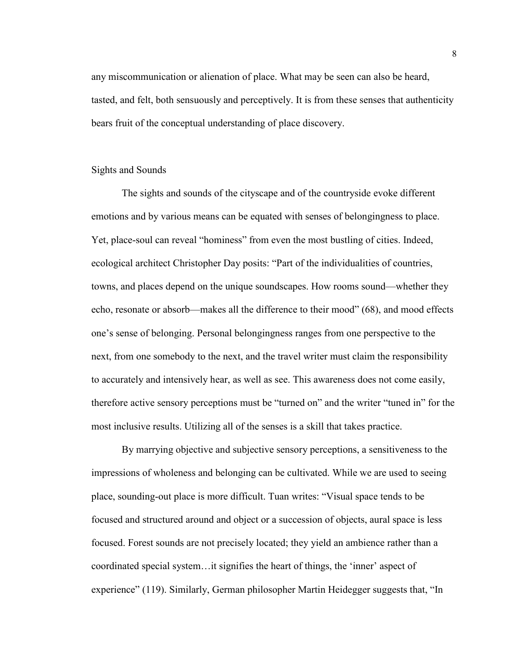any miscommunication or alienation of place. What may be seen can also be heard, tasted, and felt, both sensuously and perceptively. It is from these senses that authenticity bears fruit of the conceptual understanding of place discovery.

#### Sights and Sounds

The sights and sounds of the cityscape and of the countryside evoke different emotions and by various means can be equated with senses of belongingness to place. Yet, place-soul can reveal "hominess" from even the most bustling of cities. Indeed, ecological architect Christopher Day posits: "Part of the individualities of countries, towns, and places depend on the unique soundscapes. How rooms sound—whether they echo, resonate or absorb—makes all the difference to their mood" (68), and mood effects one's sense of belonging. Personal belongingness ranges from one perspective to the next, from one somebody to the next, and the travel writer must claim the responsibility to accurately and intensively hear, as well as see. This awareness does not come easily, therefore active sensory perceptions must be "turned on" and the writer "tuned in" for the most inclusive results. Utilizing all of the senses is a skill that takes practice.

By marrying objective and subjective sensory perceptions, a sensitiveness to the impressions of wholeness and belonging can be cultivated. While we are used to seeing place, sounding-out place is more difficult. Tuan writes: "Visual space tends to be focused and structured around and object or a succession of objects, aural space is less focused. Forest sounds are not precisely located; they yield an ambience rather than a coordinated special system…it signifies the heart of things, the 'inner' aspect of experience" (119). Similarly, German philosopher Martin Heidegger suggests that, "In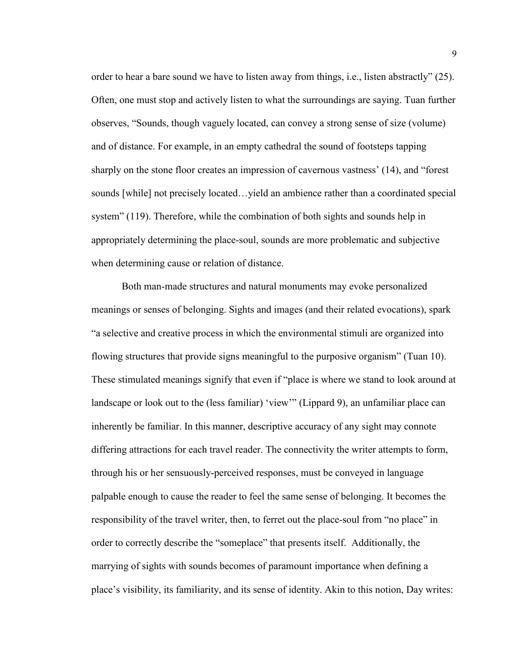order to hear a bare sound we have to listen away from things, i.e., listen abstractly" (25). Often, one must stop and actively listen to what the surroundings are saying. Tuan further observes, "Sounds, though vaguely located, can convey a strong sense of size (volume) and of distance. For example, in an empty cathedral the sound of footsteps tapping sharply on the stone floor creates an impression of cavernous vastness' (14), and "forest sounds [while] not precisely located…yield an ambience rather than a coordinated special system" (119). Therefore, while the combination of both sights and sounds help in appropriately determining the place-soul, sounds are more problematic and subjective when determining cause or relation of distance.

Both man-made structures and natural monuments may evoke personalized meanings or senses of belonging. Sights and images (and their related evocations), spark "a selective and creative process in which the environmental stimuli are organized into flowing structures that provide signs meaningful to the purposive organism" (Tuan 10). These stimulated meanings signify that even if "place is where we stand to look around at landscape or look out to the (less familiar) 'view'" (Lippard 9), an unfamiliar place can inherently be familiar. In this manner, descriptive accuracy of any sight may connote differing attractions for each travel reader. The connectivity the writer attempts to form, through his or her sensuously-perceived responses, must be conveyed in language palpable enough to cause the reader to feel the same sense of belonging. It becomes the responsibility of the travel writer, then, to ferret out the place-soul from "no place" in order to correctly describe the "someplace" that presents itself. Additionally, the marrying of sights with sounds becomes of paramount importance when defining a place's visibility, its familiarity, and its sense of identity. Akin to this notion, Day writes: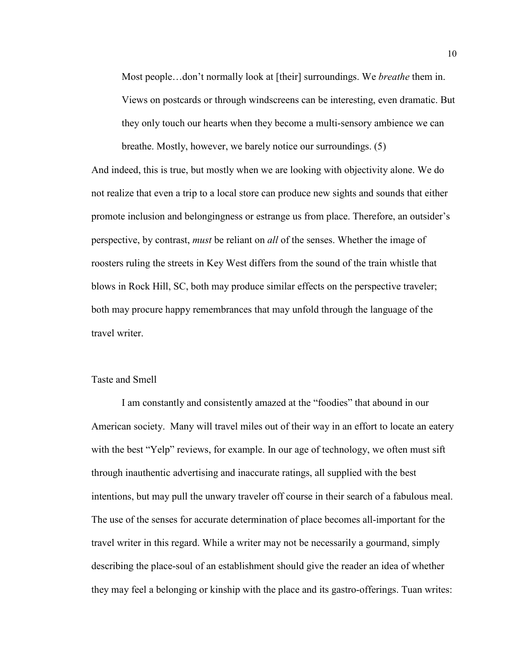Most people…don't normally look at [their] surroundings. We *breathe* them in. Views on postcards or through windscreens can be interesting, even dramatic. But they only touch our hearts when they become a multi-sensory ambience we can breathe. Mostly, however, we barely notice our surroundings. (5)

And indeed, this is true, but mostly when we are looking with objectivity alone. We do not realize that even a trip to a local store can produce new sights and sounds that either promote inclusion and belongingness or estrange us from place. Therefore, an outsider's perspective, by contrast, *must* be reliant on *all* of the senses. Whether the image of roosters ruling the streets in Key West differs from the sound of the train whistle that blows in Rock Hill, SC, both may produce similar effects on the perspective traveler; both may procure happy remembrances that may unfold through the language of the travel writer.

#### Taste and Smell

I am constantly and consistently amazed at the "foodies" that abound in our American society. Many will travel miles out of their way in an effort to locate an eatery with the best "Yelp" reviews, for example. In our age of technology, we often must sift through inauthentic advertising and inaccurate ratings, all supplied with the best intentions, but may pull the unwary traveler off course in their search of a fabulous meal. The use of the senses for accurate determination of place becomes all-important for the travel writer in this regard. While a writer may not be necessarily a gourmand, simply describing the place-soul of an establishment should give the reader an idea of whether they may feel a belonging or kinship with the place and its gastro-offerings. Tuan writes: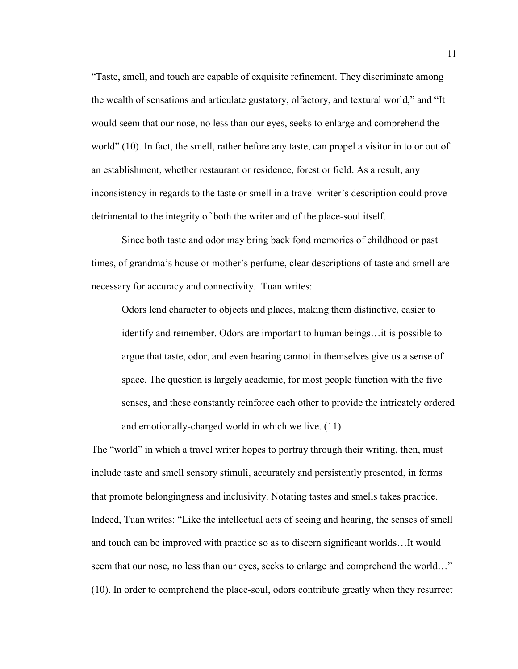"Taste, smell, and touch are capable of exquisite refinement. They discriminate among the wealth of sensations and articulate gustatory, olfactory, and textural world," and "It would seem that our nose, no less than our eyes, seeks to enlarge and comprehend the world" (10). In fact, the smell, rather before any taste, can propel a visitor in to or out of an establishment, whether restaurant or residence, forest or field. As a result, any inconsistency in regards to the taste or smell in a travel writer's description could prove detrimental to the integrity of both the writer and of the place-soul itself.

Since both taste and odor may bring back fond memories of childhood or past times, of grandma's house or mother's perfume, clear descriptions of taste and smell are necessary for accuracy and connectivity. Tuan writes:

Odors lend character to objects and places, making them distinctive, easier to identify and remember. Odors are important to human beings…it is possible to argue that taste, odor, and even hearing cannot in themselves give us a sense of space. The question is largely academic, for most people function with the five senses, and these constantly reinforce each other to provide the intricately ordered and emotionally-charged world in which we live. (11)

The "world" in which a travel writer hopes to portray through their writing, then, must include taste and smell sensory stimuli, accurately and persistently presented, in forms that promote belongingness and inclusivity. Notating tastes and smells takes practice. Indeed, Tuan writes: "Like the intellectual acts of seeing and hearing, the senses of smell and touch can be improved with practice so as to discern significant worlds…It would seem that our nose, no less than our eyes, seeks to enlarge and comprehend the world..." (10). In order to comprehend the place-soul, odors contribute greatly when they resurrect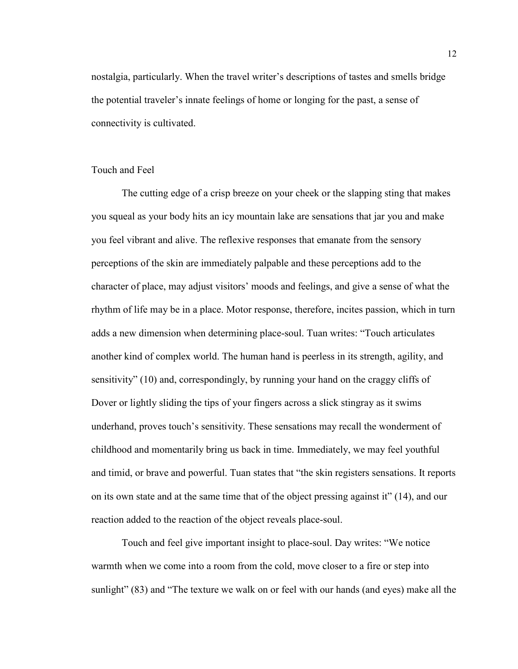nostalgia, particularly. When the travel writer's descriptions of tastes and smells bridge the potential traveler's innate feelings of home or longing for the past, a sense of connectivity is cultivated.

#### Touch and Feel

The cutting edge of a crisp breeze on your cheek or the slapping sting that makes you squeal as your body hits an icy mountain lake are sensations that jar you and make you feel vibrant and alive. The reflexive responses that emanate from the sensory perceptions of the skin are immediately palpable and these perceptions add to the character of place, may adjust visitors' moods and feelings, and give a sense of what the rhythm of life may be in a place. Motor response, therefore, incites passion, which in turn adds a new dimension when determining place-soul. Tuan writes: "Touch articulates another kind of complex world. The human hand is peerless in its strength, agility, and sensitivity" (10) and, correspondingly, by running your hand on the craggy cliffs of Dover or lightly sliding the tips of your fingers across a slick stingray as it swims underhand, proves touch's sensitivity. These sensations may recall the wonderment of childhood and momentarily bring us back in time. Immediately, we may feel youthful and timid, or brave and powerful. Tuan states that "the skin registers sensations. It reports on its own state and at the same time that of the object pressing against it" (14), and our reaction added to the reaction of the object reveals place-soul.

Touch and feel give important insight to place-soul. Day writes: "We notice warmth when we come into a room from the cold, move closer to a fire or step into sunlight" (83) and "The texture we walk on or feel with our hands (and eyes) make all the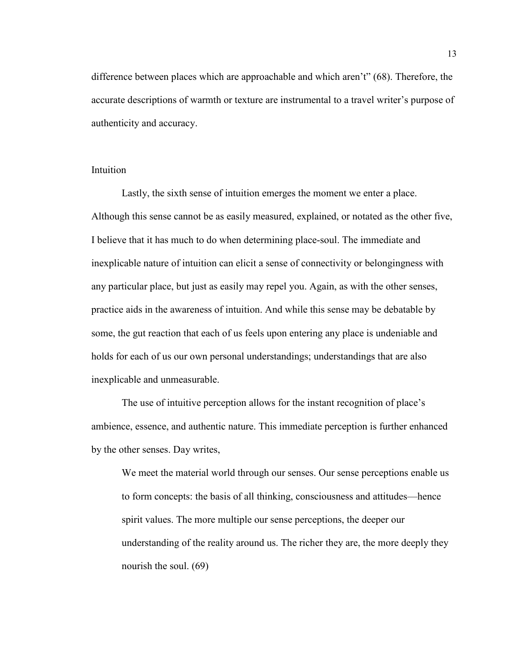difference between places which are approachable and which aren't" (68). Therefore, the accurate descriptions of warmth or texture are instrumental to a travel writer's purpose of authenticity and accuracy.

#### Intuition

Lastly, the sixth sense of intuition emerges the moment we enter a place. Although this sense cannot be as easily measured, explained, or notated as the other five, I believe that it has much to do when determining place-soul. The immediate and inexplicable nature of intuition can elicit a sense of connectivity or belongingness with any particular place, but just as easily may repel you. Again, as with the other senses, practice aids in the awareness of intuition. And while this sense may be debatable by some, the gut reaction that each of us feels upon entering any place is undeniable and holds for each of us our own personal understandings; understandings that are also inexplicable and unmeasurable.

The use of intuitive perception allows for the instant recognition of place's ambience, essence, and authentic nature. This immediate perception is further enhanced by the other senses. Day writes,

We meet the material world through our senses. Our sense perceptions enable us to form concepts: the basis of all thinking, consciousness and attitudes—hence spirit values. The more multiple our sense perceptions, the deeper our understanding of the reality around us. The richer they are, the more deeply they nourish the soul. (69)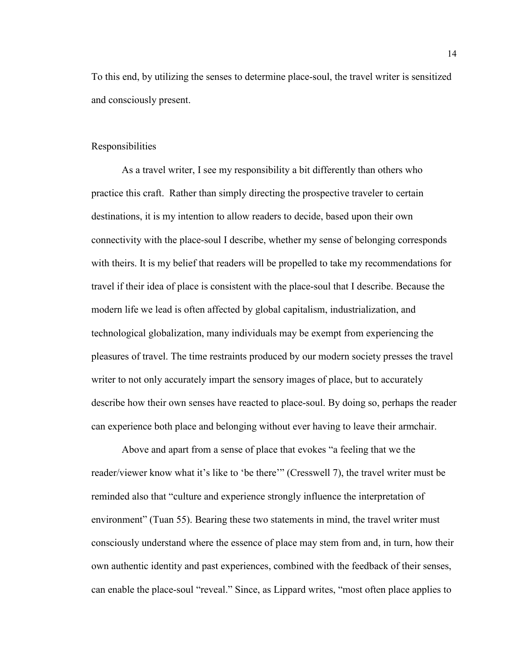To this end, by utilizing the senses to determine place-soul, the travel writer is sensitized and consciously present.

#### Responsibilities

As a travel writer, I see my responsibility a bit differently than others who practice this craft. Rather than simply directing the prospective traveler to certain destinations, it is my intention to allow readers to decide, based upon their own connectivity with the place-soul I describe, whether my sense of belonging corresponds with theirs. It is my belief that readers will be propelled to take my recommendations for travel if their idea of place is consistent with the place-soul that I describe. Because the modern life we lead is often affected by global capitalism, industrialization, and technological globalization, many individuals may be exempt from experiencing the pleasures of travel. The time restraints produced by our modern society presses the travel writer to not only accurately impart the sensory images of place, but to accurately describe how their own senses have reacted to place-soul. By doing so, perhaps the reader can experience both place and belonging without ever having to leave their armchair.

Above and apart from a sense of place that evokes "a feeling that we the reader/viewer know what it's like to 'be there'" (Cresswell 7), the travel writer must be reminded also that "culture and experience strongly influence the interpretation of environment" (Tuan 55). Bearing these two statements in mind, the travel writer must consciously understand where the essence of place may stem from and, in turn, how their own authentic identity and past experiences, combined with the feedback of their senses, can enable the place-soul "reveal." Since, as Lippard writes, "most often place applies to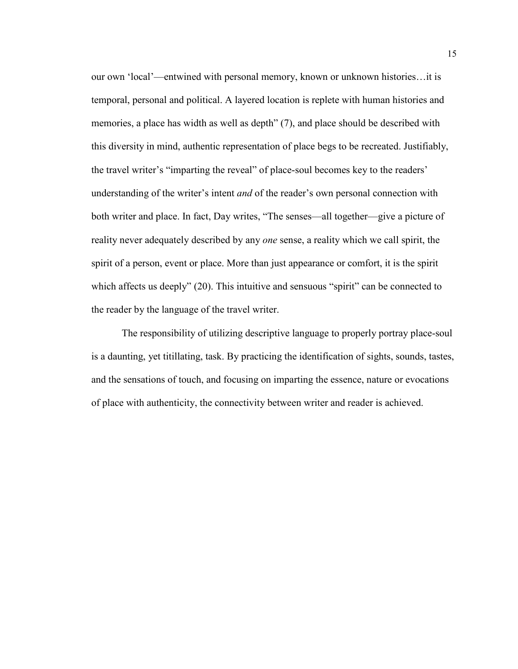our own 'local'—entwined with personal memory, known or unknown histories…it is temporal, personal and political. A layered location is replete with human histories and memories, a place has width as well as depth" (7), and place should be described with this diversity in mind, authentic representation of place begs to be recreated. Justifiably, the travel writer's "imparting the reveal" of place-soul becomes key to the readers' understanding of the writer's intent *and* of the reader's own personal connection with both writer and place. In fact, Day writes, "The senses—all together—give a picture of reality never adequately described by any *one* sense, a reality which we call spirit, the spirit of a person, event or place. More than just appearance or comfort, it is the spirit which affects us deeply" (20). This intuitive and sensuous "spirit" can be connected to the reader by the language of the travel writer.

The responsibility of utilizing descriptive language to properly portray place-soul is a daunting, yet titillating, task. By practicing the identification of sights, sounds, tastes, and the sensations of touch, and focusing on imparting the essence, nature or evocations of place with authenticity, the connectivity between writer and reader is achieved.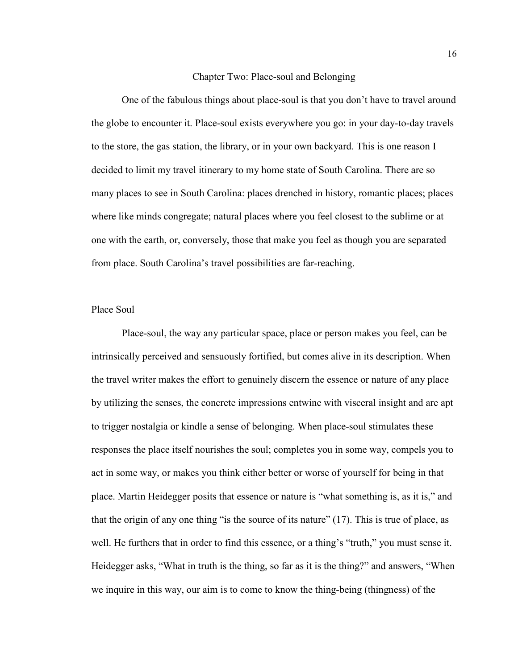#### Chapter Two: Place-soul and Belonging

One of the fabulous things about place-soul is that you don't have to travel around the globe to encounter it. Place-soul exists everywhere you go: in your day-to-day travels to the store, the gas station, the library, or in your own backyard. This is one reason I decided to limit my travel itinerary to my home state of South Carolina. There are so many places to see in South Carolina: places drenched in history, romantic places; places where like minds congregate; natural places where you feel closest to the sublime or at one with the earth, or, conversely, those that make you feel as though you are separated from place. South Carolina's travel possibilities are far-reaching.

#### Place Soul

Place-soul, the way any particular space, place or person makes you feel, can be intrinsically perceived and sensuously fortified, but comes alive in its description. When the travel writer makes the effort to genuinely discern the essence or nature of any place by utilizing the senses, the concrete impressions entwine with visceral insight and are apt to trigger nostalgia or kindle a sense of belonging. When place-soul stimulates these responses the place itself nourishes the soul; completes you in some way, compels you to act in some way, or makes you think either better or worse of yourself for being in that place. Martin Heidegger posits that essence or nature is "what something is, as it is," and that the origin of any one thing "is the source of its nature" (17). This is true of place, as well. He furthers that in order to find this essence, or a thing's "truth," you must sense it. Heidegger asks, "What in truth is the thing, so far as it is the thing?" and answers, "When we inquire in this way, our aim is to come to know the thing-being (thingness) of the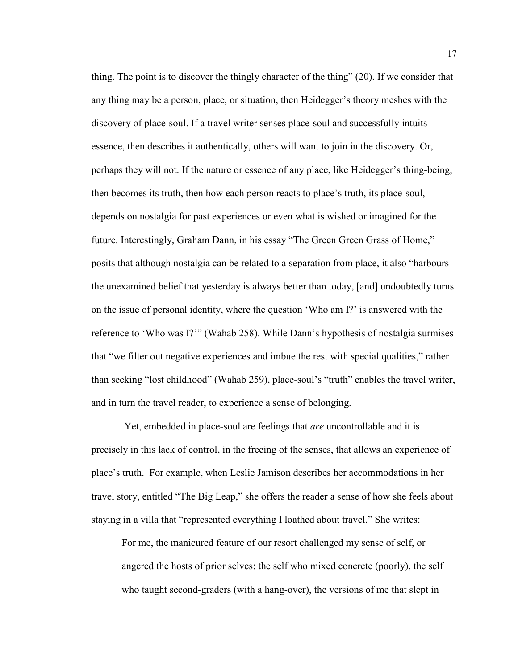thing. The point is to discover the thingly character of the thing" (20). If we consider that any thing may be a person, place, or situation, then Heidegger's theory meshes with the discovery of place-soul. If a travel writer senses place-soul and successfully intuits essence, then describes it authentically, others will want to join in the discovery. Or, perhaps they will not. If the nature or essence of any place, like Heidegger's thing-being, then becomes its truth, then how each person reacts to place's truth, its place-soul, depends on nostalgia for past experiences or even what is wished or imagined for the future. Interestingly, Graham Dann, in his essay "The Green Green Grass of Home," posits that although nostalgia can be related to a separation from place, it also "harbours the unexamined belief that yesterday is always better than today, [and] undoubtedly turns on the issue of personal identity, where the question 'Who am I?' is answered with the reference to 'Who was I?'" (Wahab 258). While Dann's hypothesis of nostalgia surmises that "we filter out negative experiences and imbue the rest with special qualities," rather than seeking "lost childhood" (Wahab 259), place-soul's "truth" enables the travel writer, and in turn the travel reader, to experience a sense of belonging.

Yet, embedded in place-soul are feelings that *are* uncontrollable and it is precisely in this lack of control, in the freeing of the senses, that allows an experience of place's truth. For example, when Leslie Jamison describes her accommodations in her travel story, entitled "The Big Leap," she offers the reader a sense of how she feels about staying in a villa that "represented everything I loathed about travel." She writes:

For me, the manicured feature of our resort challenged my sense of self, or angered the hosts of prior selves: the self who mixed concrete (poorly), the self who taught second-graders (with a hang-over), the versions of me that slept in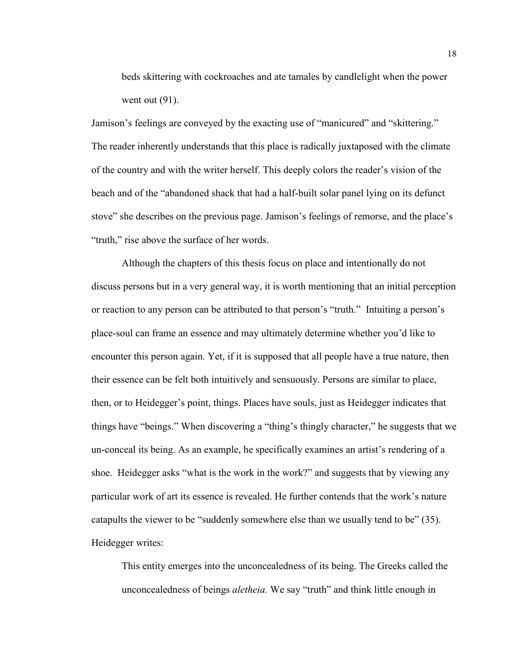beds skittering with cockroaches and ate tamales by candlelight when the power went out  $(91)$ .

Jamison's feelings are conveyed by the exacting use of "manicured" and "skittering." The reader inherently understands that this place is radically juxtaposed with the climate of the country and with the writer herself. This deeply colors the reader's vision of the beach and of the "abandoned shack that had a half-built solar panel lying on its defunct stove" she describes on the previous page. Jamison's feelings of remorse, and the place's "truth," rise above the surface of her words.

Although the chapters of this thesis focus on place and intentionally do not discuss persons but in a very general way, it is worth mentioning that an initial perception or reaction to any person can be attributed to that person's "truth." Intuiting a person's place-soul can frame an essence and may ultimately determine whether you'd like to encounter this person again. Yet, if it is supposed that all people have a true nature, then their essence can be felt both intuitively and sensuously. Persons are similar to place, then, or to Heidegger's point, things. Places have souls, just as Heidegger indicates that things have "beings." When discovering a "thing's thingly character," he suggests that we un-conceal its being. As an example, he specifically examines an artist's rendering of a shoe. Heidegger asks "what is the work in the work?" and suggests that by viewing any particular work of art its essence is revealed. He further contends that the work's nature catapults the viewer to be "suddenly somewhere else than we usually tend to be" (35). Heidegger writes:

This entity emerges into the unconcealedness of its being. The Greeks called the unconcealedness of beings *aletheia.* We say "truth" and think little enough in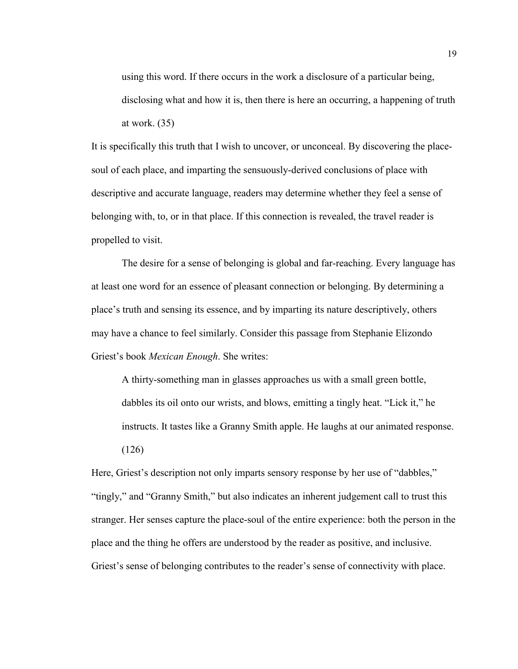using this word. If there occurs in the work a disclosure of a particular being, disclosing what and how it is, then there is here an occurring, a happening of truth at work. (35)

It is specifically this truth that I wish to uncover, or unconceal. By discovering the placesoul of each place, and imparting the sensuously-derived conclusions of place with descriptive and accurate language, readers may determine whether they feel a sense of belonging with, to, or in that place. If this connection is revealed, the travel reader is propelled to visit.

The desire for a sense of belonging is global and far-reaching. Every language has at least one word for an essence of pleasant connection or belonging. By determining a place's truth and sensing its essence, and by imparting its nature descriptively, others may have a chance to feel similarly. Consider this passage from Stephanie Elizondo Griest's book *Mexican Enough*. She writes:

A thirty-something man in glasses approaches us with a small green bottle, dabbles its oil onto our wrists, and blows, emitting a tingly heat. "Lick it," he instructs. It tastes like a Granny Smith apple. He laughs at our animated response. (126)

Here, Griest's description not only imparts sensory response by her use of "dabbles," "tingly," and "Granny Smith," but also indicates an inherent judgement call to trust this stranger. Her senses capture the place-soul of the entire experience: both the person in the place and the thing he offers are understood by the reader as positive, and inclusive. Griest's sense of belonging contributes to the reader's sense of connectivity with place.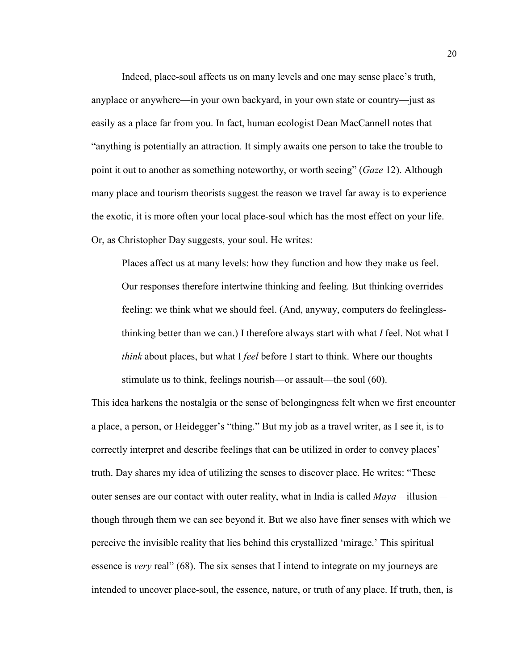Indeed, place-soul affects us on many levels and one may sense place's truth, anyplace or anywhere—in your own backyard, in your own state or country—just as easily as a place far from you. In fact, human ecologist Dean MacCannell notes that "anything is potentially an attraction. It simply awaits one person to take the trouble to point it out to another as something noteworthy, or worth seeing" (*Gaze* 12). Although many place and tourism theorists suggest the reason we travel far away is to experience the exotic, it is more often your local place-soul which has the most effect on your life. Or, as Christopher Day suggests, your soul. He writes:

Places affect us at many levels: how they function and how they make us feel. Our responses therefore intertwine thinking and feeling. But thinking overrides feeling: we think what we should feel. (And, anyway, computers do feelinglessthinking better than we can.) I therefore always start with what *I* feel. Not what I *think* about places, but what I *feel* before I start to think. Where our thoughts stimulate us to think, feelings nourish—or assault—the soul (60).

This idea harkens the nostalgia or the sense of belongingness felt when we first encounter a place, a person, or Heidegger's "thing." But my job as a travel writer, as I see it, is to correctly interpret and describe feelings that can be utilized in order to convey places' truth. Day shares my idea of utilizing the senses to discover place. He writes: "These outer senses are our contact with outer reality, what in India is called *Maya*—illusion though through them we can see beyond it. But we also have finer senses with which we perceive the invisible reality that lies behind this crystallized 'mirage.' This spiritual essence is *very* real" (68). The six senses that I intend to integrate on my journeys are intended to uncover place-soul, the essence, nature, or truth of any place. If truth, then, is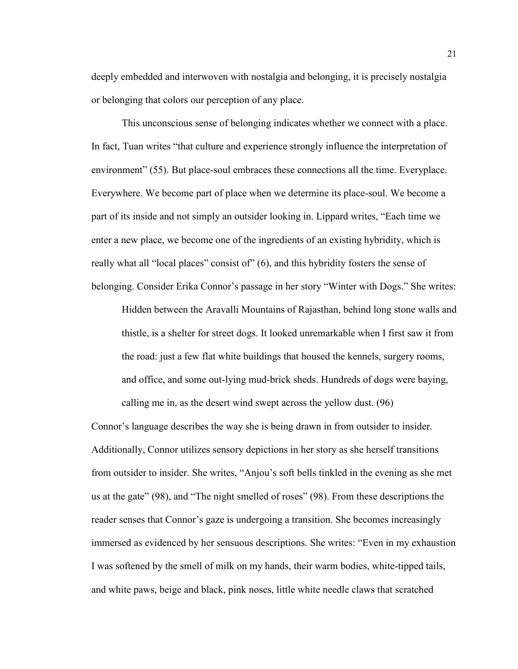deeply embedded and interwoven with nostalgia and belonging, it is precisely nostalgia or belonging that colors our perception of any place.

This unconscious sense of belonging indicates whether we connect with a place. In fact, Tuan writes "that culture and experience strongly influence the interpretation of environment" (55). But place-soul embraces these connections all the time. Everyplace. Everywhere. We become part of place when we determine its place-soul. We become a part of its inside and not simply an outsider looking in. Lippard writes, "Each time we enter a new place, we become one of the ingredients of an existing hybridity, which is really what all "local places" consist of" (6), and this hybridity fosters the sense of belonging. Consider Erika Connor's passage in her story "Winter with Dogs." She writes:

Hidden between the Aravalli Mountains of Rajasthan, behind long stone walls and thistle, is a shelter for street dogs. It looked unremarkable when I first saw it from the road: just a few flat white buildings that housed the kennels, surgery rooms, and office, and some out-lying mud-brick sheds. Hundreds of dogs were baying, calling me in, as the desert wind swept across the yellow dust. (96)

Connor's language describes the way she is being drawn in from outsider to insider. Additionally, Connor utilizes sensory depictions in her story as she herself transitions from outsider to insider. She writes, "Anjou's soft bells tinkled in the evening as she met us at the gate" (98), and "The night smelled of roses" (98). From these descriptions the reader senses that Connor's gaze is undergoing a transition. She becomes increasingly immersed as evidenced by her sensuous descriptions. She writes: "Even in my exhaustion I was softened by the smell of milk on my hands, their warm bodies, white-tipped tails, and white paws, beige and black, pink noses, little white needle claws that scratched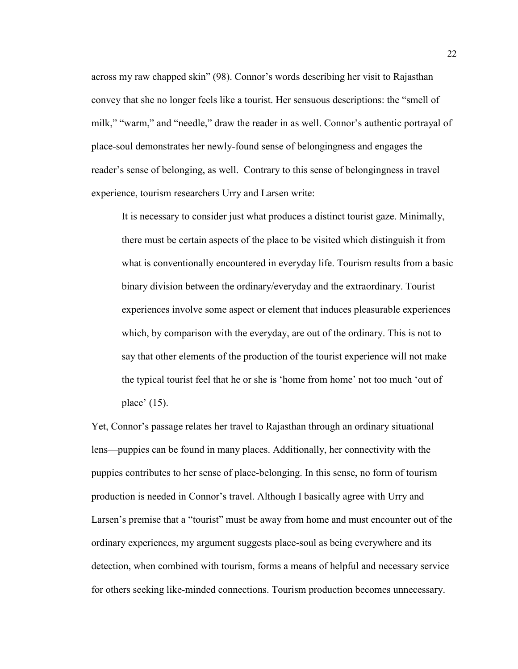across my raw chapped skin" (98). Connor's words describing her visit to Rajasthan convey that she no longer feels like a tourist. Her sensuous descriptions: the "smell of milk," "warm," and "needle," draw the reader in as well. Connor's authentic portrayal of place-soul demonstrates her newly-found sense of belongingness and engages the reader's sense of belonging, as well. Contrary to this sense of belongingness in travel experience, tourism researchers Urry and Larsen write:

It is necessary to consider just what produces a distinct tourist gaze. Minimally, there must be certain aspects of the place to be visited which distinguish it from what is conventionally encountered in everyday life. Tourism results from a basic binary division between the ordinary/everyday and the extraordinary. Tourist experiences involve some aspect or element that induces pleasurable experiences which, by comparison with the everyday, are out of the ordinary. This is not to say that other elements of the production of the tourist experience will not make the typical tourist feel that he or she is 'home from home' not too much 'out of place' (15).

Yet, Connor's passage relates her travel to Rajasthan through an ordinary situational lens—puppies can be found in many places. Additionally, her connectivity with the puppies contributes to her sense of place-belonging. In this sense, no form of tourism production is needed in Connor's travel. Although I basically agree with Urry and Larsen's premise that a "tourist" must be away from home and must encounter out of the ordinary experiences, my argument suggests place-soul as being everywhere and its detection, when combined with tourism, forms a means of helpful and necessary service for others seeking like-minded connections. Tourism production becomes unnecessary.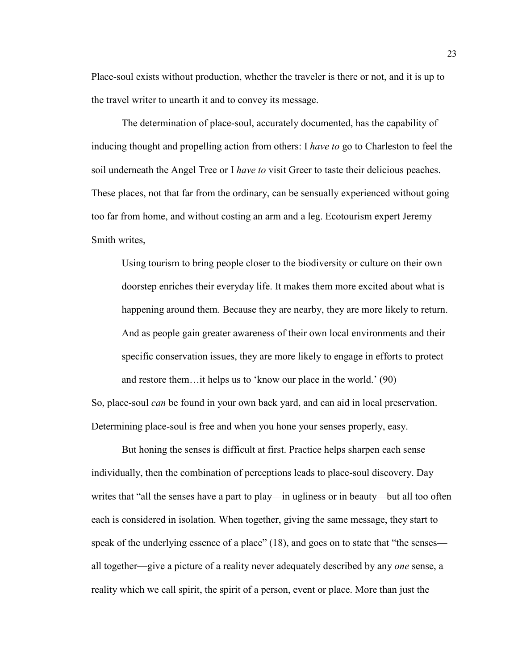Place-soul exists without production, whether the traveler is there or not, and it is up to the travel writer to unearth it and to convey its message.

The determination of place-soul, accurately documented, has the capability of inducing thought and propelling action from others: I *have to* go to Charleston to feel the soil underneath the Angel Tree or I *have to* visit Greer to taste their delicious peaches. These places, not that far from the ordinary, can be sensually experienced without going too far from home, and without costing an arm and a leg. Ecotourism expert Jeremy Smith writes,

Using tourism to bring people closer to the biodiversity or culture on their own doorstep enriches their everyday life. It makes them more excited about what is happening around them. Because they are nearby, they are more likely to return. And as people gain greater awareness of their own local environments and their specific conservation issues, they are more likely to engage in efforts to protect and restore them…it helps us to 'know our place in the world.' (90)

So, place-soul *can* be found in your own back yard, and can aid in local preservation. Determining place-soul is free and when you hone your senses properly, easy.

But honing the senses is difficult at first. Practice helps sharpen each sense individually, then the combination of perceptions leads to place-soul discovery. Day writes that "all the senses have a part to play—in ugliness or in beauty—but all too often each is considered in isolation. When together, giving the same message, they start to speak of the underlying essence of a place" (18), and goes on to state that "the senses all together—give a picture of a reality never adequately described by any *one* sense, a reality which we call spirit, the spirit of a person, event or place. More than just the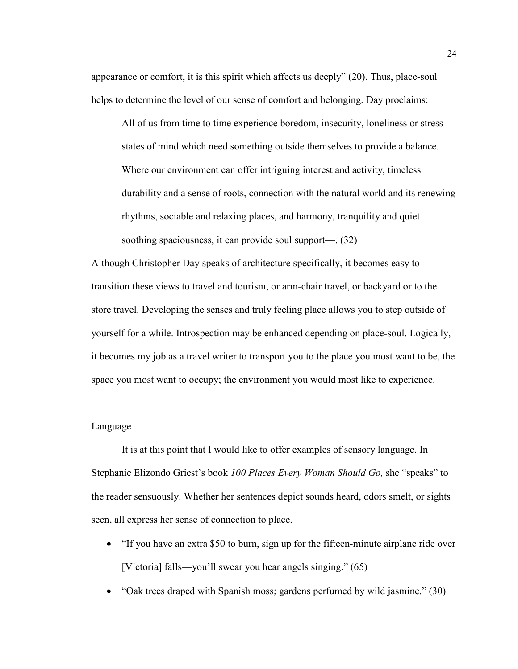appearance or comfort, it is this spirit which affects us deeply" (20). Thus, place-soul helps to determine the level of our sense of comfort and belonging. Day proclaims:

All of us from time to time experience boredom, insecurity, loneliness or stress states of mind which need something outside themselves to provide a balance. Where our environment can offer intriguing interest and activity, timeless durability and a sense of roots, connection with the natural world and its renewing rhythms, sociable and relaxing places, and harmony, tranquility and quiet soothing spaciousness, it can provide soul support—. (32)

Although Christopher Day speaks of architecture specifically, it becomes easy to transition these views to travel and tourism, or arm-chair travel, or backyard or to the store travel. Developing the senses and truly feeling place allows you to step outside of yourself for a while. Introspection may be enhanced depending on place-soul. Logically, it becomes my job as a travel writer to transport you to the place you most want to be, the space you most want to occupy; the environment you would most like to experience.

#### Language

It is at this point that I would like to offer examples of sensory language. In Stephanie Elizondo Griest's book *100 Places Every Woman Should Go,* she "speaks" to the reader sensuously. Whether her sentences depict sounds heard, odors smelt, or sights seen, all express her sense of connection to place.

- "If you have an extra \$50 to burn, sign up for the fifteen-minute airplane ride over [Victoria] falls—you'll swear you hear angels singing." (65)
- "Oak trees draped with Spanish moss; gardens perfumed by wild jasmine." (30)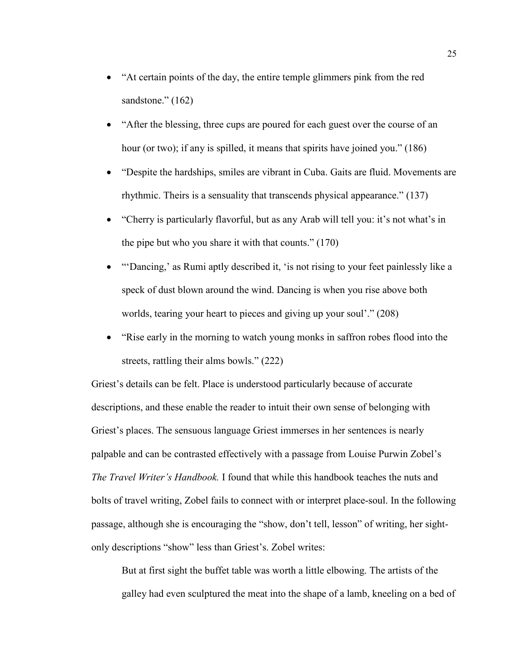- "At certain points of the day, the entire temple glimmers pink from the red sandstone." (162)
- "After the blessing, three cups are poured for each guest over the course of an hour (or two); if any is spilled, it means that spirits have joined you." (186)
- "Despite the hardships, smiles are vibrant in Cuba. Gaits are fluid. Movements are rhythmic. Theirs is a sensuality that transcends physical appearance." (137)
- "Cherry is particularly flavorful, but as any Arab will tell you: it's not what's in the pipe but who you share it with that counts." (170)
- "Dancing,' as Rumi aptly described it, 'is not rising to your feet painlessly like a speck of dust blown around the wind. Dancing is when you rise above both worlds, tearing your heart to pieces and giving up your soul'." (208)
- "Rise early in the morning to watch young monks in saffron robes flood into the streets, rattling their alms bowls." (222)

Griest's details can be felt. Place is understood particularly because of accurate descriptions, and these enable the reader to intuit their own sense of belonging with Griest's places. The sensuous language Griest immerses in her sentences is nearly palpable and can be contrasted effectively with a passage from Louise Purwin Zobel's *The Travel Writer's Handbook.* I found that while this handbook teaches the nuts and bolts of travel writing, Zobel fails to connect with or interpret place-soul. In the following passage, although she is encouraging the "show, don't tell, lesson" of writing, her sightonly descriptions "show" less than Griest's. Zobel writes:

But at first sight the buffet table was worth a little elbowing. The artists of the galley had even sculptured the meat into the shape of a lamb, kneeling on a bed of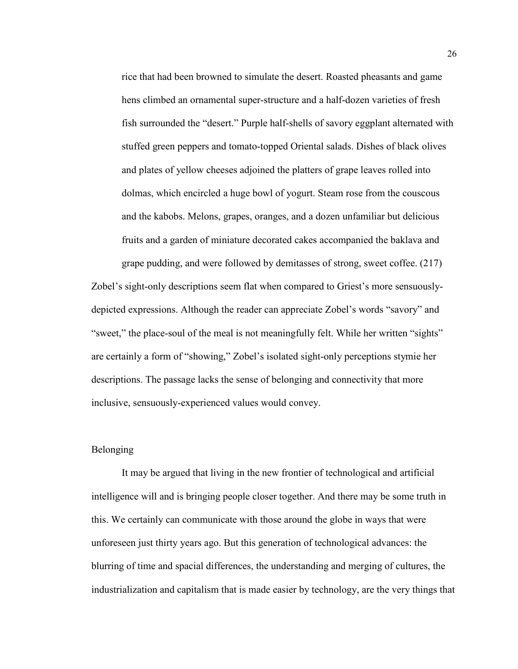rice that had been browned to simulate the desert. Roasted pheasants and game hens climbed an ornamental super-structure and a half-dozen varieties of fresh fish surrounded the "desert." Purple half-shells of savory eggplant alternated with stuffed green peppers and tomato-topped Oriental salads. Dishes of black olives and plates of yellow cheeses adjoined the platters of grape leaves rolled into dolmas, which encircled a huge bowl of yogurt. Steam rose from the couscous and the kabobs. Melons, grapes, oranges, and a dozen unfamiliar but delicious fruits and a garden of miniature decorated cakes accompanied the baklava and grape pudding, and were followed by demitasses of strong, sweet coffee. (217)

Zobel's sight-only descriptions seem flat when compared to Griest's more sensuouslydepicted expressions. Although the reader can appreciate Zobel's words "savory" and "sweet," the place-soul of the meal is not meaningfully felt. While her written "sights" are certainly a form of "showing," Zobel's isolated sight-only perceptions stymie her descriptions. The passage lacks the sense of belonging and connectivity that more inclusive, sensuously-experienced values would convey.

#### Belonging

It may be argued that living in the new frontier of technological and artificial intelligence will and is bringing people closer together. And there may be some truth in this. We certainly can communicate with those around the globe in ways that were unforeseen just thirty years ago. But this generation of technological advances: the blurring of time and spacial differences, the understanding and merging of cultures, the industrialization and capitalism that is made easier by technology, are the very things that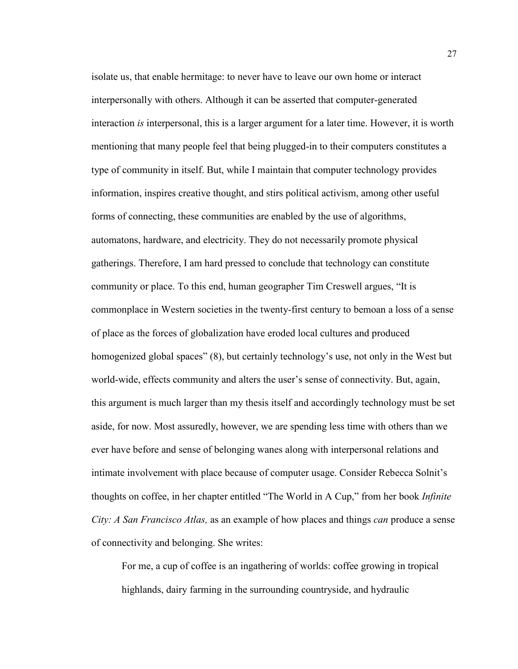isolate us, that enable hermitage: to never have to leave our own home or interact interpersonally with others. Although it can be asserted that computer-generated interaction *is* interpersonal, this is a larger argument for a later time. However, it is worth mentioning that many people feel that being plugged-in to their computers constitutes a type of community in itself. But, while I maintain that computer technology provides information, inspires creative thought, and stirs political activism, among other useful forms of connecting, these communities are enabled by the use of algorithms, automatons, hardware, and electricity. They do not necessarily promote physical gatherings. Therefore, I am hard pressed to conclude that technology can constitute community or place. To this end, human geographer Tim Creswell argues, "It is commonplace in Western societies in the twenty-first century to bemoan a loss of a sense of place as the forces of globalization have eroded local cultures and produced homogenized global spaces" (8), but certainly technology's use, not only in the West but world-wide, effects community and alters the user's sense of connectivity. But, again, this argument is much larger than my thesis itself and accordingly technology must be set aside, for now. Most assuredly, however, we are spending less time with others than we ever have before and sense of belonging wanes along with interpersonal relations and intimate involvement with place because of computer usage. Consider Rebecca Solnit's thoughts on coffee, in her chapter entitled "The World in A Cup," from her book *Infinite City: A San Francisco Atlas,* as an example of how places and things *can* produce a sense of connectivity and belonging. She writes:

For me, a cup of coffee is an ingathering of worlds: coffee growing in tropical highlands, dairy farming in the surrounding countryside, and hydraulic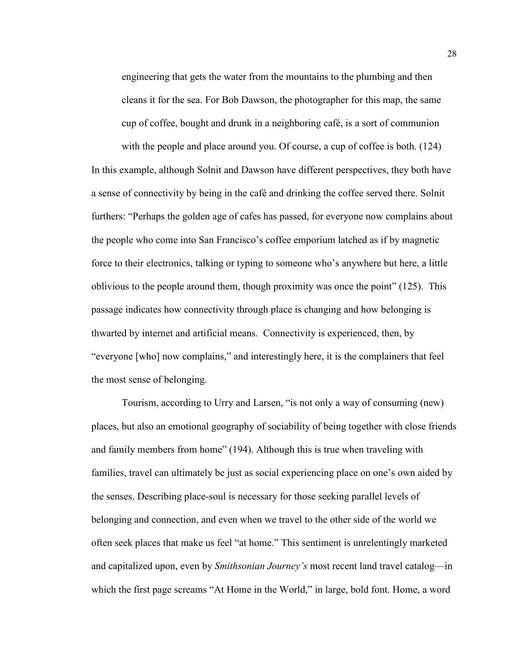engineering that gets the water from the mountains to the plumbing and then cleans it for the sea. For Bob Dawson, the photographer for this map, the same cup of coffee, bought and drunk in a neighboring café, is a sort of communion

with the people and place around you. Of course, a cup of coffee is both. (124) In this example, although Solnit and Dawson have different perspectives, they both have a sense of connectivity by being in the café and drinking the coffee served there. Solnit furthers: "Perhaps the golden age of cafes has passed, for everyone now complains about the people who come into San Francisco's coffee emporium latched as if by magnetic force to their electronics, talking or typing to someone who's anywhere but here, a little oblivious to the people around them, though proximity was once the point" (125). This passage indicates how connectivity through place is changing and how belonging is thwarted by internet and artificial means. Connectivity is experienced, then, by "everyone [who] now complains," and interestingly here, it is the complainers that feel the most sense of belonging.

Tourism, according to Urry and Larsen, "is not only a way of consuming (new) places, but also an emotional geography of sociability of being together with close friends and family members from home" (194). Although this is true when traveling with families, travel can ultimately be just as social experiencing place on one's own aided by the senses. Describing place-soul is necessary for those seeking parallel levels of belonging and connection, and even when we travel to the other side of the world we often seek places that make us feel "at home." This sentiment is unrelentingly marketed and capitalized upon, even by *Smithsonian Journey's* most recent land travel catalog—in which the first page screams "At Home in the World," in large, bold font. Home, a word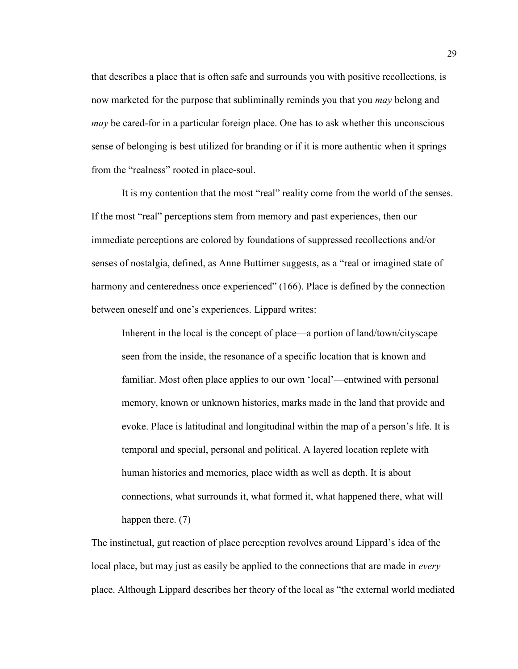that describes a place that is often safe and surrounds you with positive recollections, is now marketed for the purpose that subliminally reminds you that you *may* belong and *may* be cared-for in a particular foreign place. One has to ask whether this unconscious sense of belonging is best utilized for branding or if it is more authentic when it springs from the "realness" rooted in place-soul.

It is my contention that the most "real" reality come from the world of the senses. If the most "real" perceptions stem from memory and past experiences, then our immediate perceptions are colored by foundations of suppressed recollections and/or senses of nostalgia, defined, as Anne Buttimer suggests, as a "real or imagined state of harmony and centeredness once experienced" (166). Place is defined by the connection between oneself and one's experiences. Lippard writes:

Inherent in the local is the concept of place—a portion of land/town/cityscape seen from the inside, the resonance of a specific location that is known and familiar. Most often place applies to our own 'local'—entwined with personal memory, known or unknown histories, marks made in the land that provide and evoke. Place is latitudinal and longitudinal within the map of a person's life. It is temporal and special, personal and political. A layered location replete with human histories and memories, place width as well as depth. It is about connections, what surrounds it, what formed it, what happened there, what will happen there. (7)

The instinctual, gut reaction of place perception revolves around Lippard's idea of the local place, but may just as easily be applied to the connections that are made in *every*  place. Although Lippard describes her theory of the local as "the external world mediated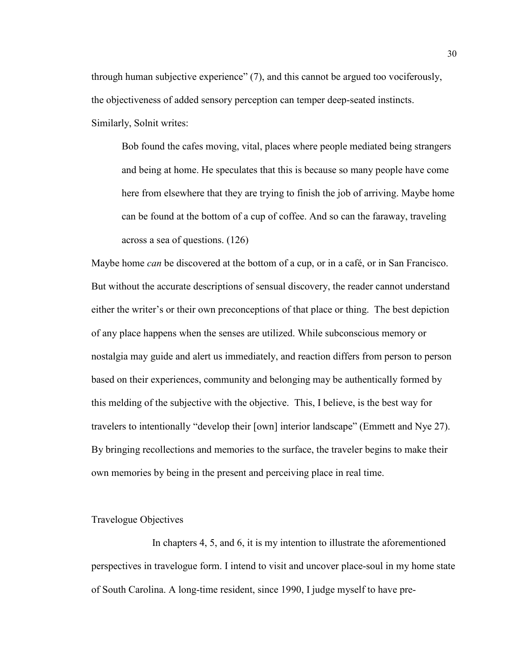through human subjective experience" (7), and this cannot be argued too vociferously, the objectiveness of added sensory perception can temper deep-seated instincts. Similarly, Solnit writes:

Bob found the cafes moving, vital, places where people mediated being strangers and being at home. He speculates that this is because so many people have come here from elsewhere that they are trying to finish the job of arriving. Maybe home can be found at the bottom of a cup of coffee. And so can the faraway, traveling across a sea of questions. (126)

Maybe home *can* be discovered at the bottom of a cup, or in a café, or in San Francisco. But without the accurate descriptions of sensual discovery, the reader cannot understand either the writer's or their own preconceptions of that place or thing. The best depiction of any place happens when the senses are utilized. While subconscious memory or nostalgia may guide and alert us immediately, and reaction differs from person to person based on their experiences, community and belonging may be authentically formed by this melding of the subjective with the objective. This, I believe, is the best way for travelers to intentionally "develop their [own] interior landscape" (Emmett and Nye 27). By bringing recollections and memories to the surface, the traveler begins to make their own memories by being in the present and perceiving place in real time.

#### Travelogue Objectives

In chapters 4, 5, and 6, it is my intention to illustrate the aforementioned perspectives in travelogue form. I intend to visit and uncover place-soul in my home state of South Carolina. A long-time resident, since 1990, I judge myself to have pre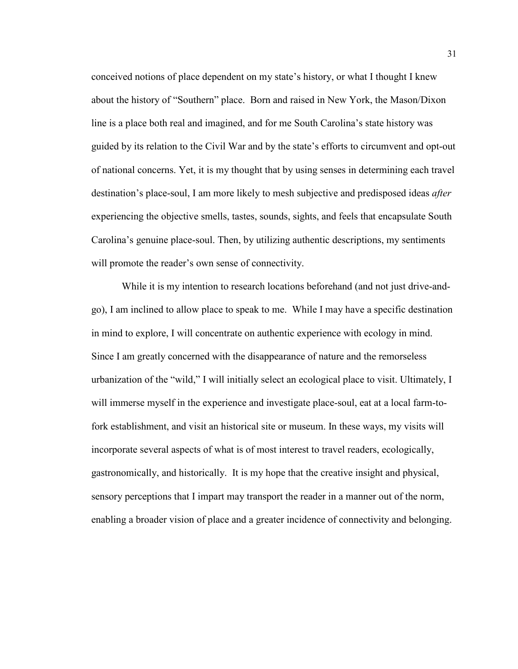conceived notions of place dependent on my state's history, or what I thought I knew about the history of "Southern" place. Born and raised in New York, the Mason/Dixon line is a place both real and imagined, and for me South Carolina's state history was guided by its relation to the Civil War and by the state's efforts to circumvent and opt-out of national concerns. Yet, it is my thought that by using senses in determining each travel destination's place-soul, I am more likely to mesh subjective and predisposed ideas *after*  experiencing the objective smells, tastes, sounds, sights, and feels that encapsulate South Carolina's genuine place-soul. Then, by utilizing authentic descriptions, my sentiments will promote the reader's own sense of connectivity.

While it is my intention to research locations beforehand (and not just drive-andgo), I am inclined to allow place to speak to me. While I may have a specific destination in mind to explore, I will concentrate on authentic experience with ecology in mind. Since I am greatly concerned with the disappearance of nature and the remorseless urbanization of the "wild," I will initially select an ecological place to visit. Ultimately, I will immerse myself in the experience and investigate place-soul, eat at a local farm-tofork establishment, and visit an historical site or museum. In these ways, my visits will incorporate several aspects of what is of most interest to travel readers, ecologically, gastronomically, and historically. It is my hope that the creative insight and physical, sensory perceptions that I impart may transport the reader in a manner out of the norm, enabling a broader vision of place and a greater incidence of connectivity and belonging.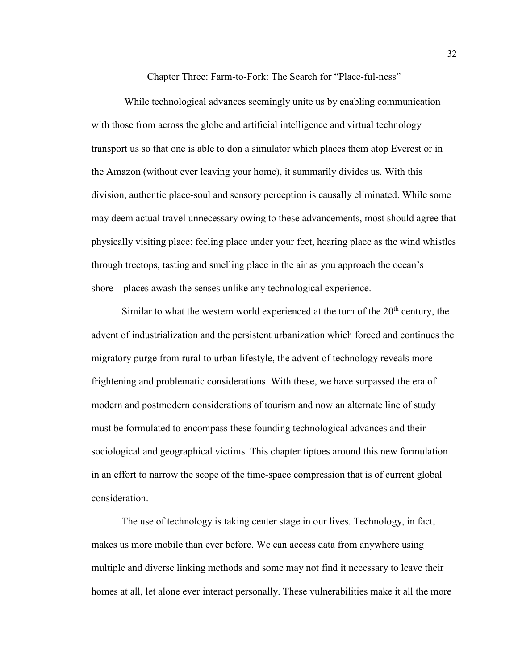Chapter Three: Farm-to-Fork: The Search for "Place-ful-ness"

While technological advances seemingly unite us by enabling communication with those from across the globe and artificial intelligence and virtual technology transport us so that one is able to don a simulator which places them atop Everest or in the Amazon (without ever leaving your home), it summarily divides us. With this division, authentic place-soul and sensory perception is causally eliminated. While some may deem actual travel unnecessary owing to these advancements, most should agree that physically visiting place: feeling place under your feet, hearing place as the wind whistles through treetops, tasting and smelling place in the air as you approach the ocean's shore—places awash the senses unlike any technological experience.

Similar to what the western world experienced at the turn of the  $20<sup>th</sup>$  century, the advent of industrialization and the persistent urbanization which forced and continues the migratory purge from rural to urban lifestyle, the advent of technology reveals more frightening and problematic considerations. With these, we have surpassed the era of modern and postmodern considerations of tourism and now an alternate line of study must be formulated to encompass these founding technological advances and their sociological and geographical victims. This chapter tiptoes around this new formulation in an effort to narrow the scope of the time-space compression that is of current global consideration.

The use of technology is taking center stage in our lives. Technology, in fact, makes us more mobile than ever before. We can access data from anywhere using multiple and diverse linking methods and some may not find it necessary to leave their homes at all, let alone ever interact personally. These vulnerabilities make it all the more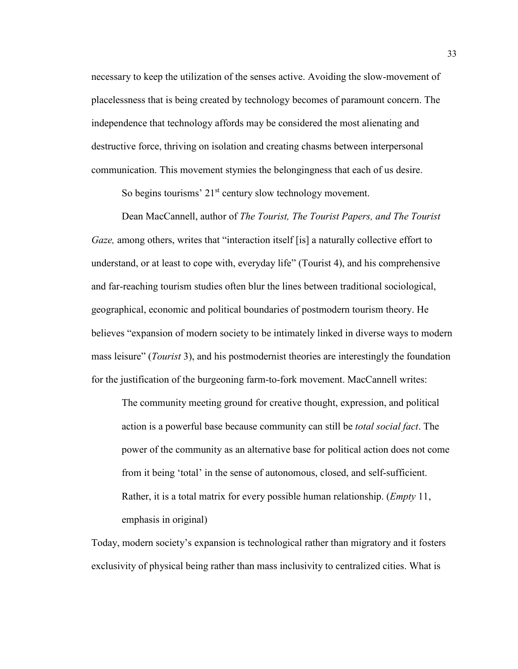necessary to keep the utilization of the senses active. Avoiding the slow-movement of placelessness that is being created by technology becomes of paramount concern. The independence that technology affords may be considered the most alienating and destructive force, thriving on isolation and creating chasms between interpersonal communication. This movement stymies the belongingness that each of us desire.

So begins tourisms'  $21<sup>st</sup>$  century slow technology movement.

Dean MacCannell, author of *The Tourist, The Tourist Papers, and The Tourist Gaze*, among others, writes that "interaction itself [is] a naturally collective effort to understand, or at least to cope with, everyday life" (Tourist 4), and his comprehensive and far-reaching tourism studies often blur the lines between traditional sociological, geographical, economic and political boundaries of postmodern tourism theory. He believes "expansion of modern society to be intimately linked in diverse ways to modern mass leisure" (*Tourist* 3), and his postmodernist theories are interestingly the foundation for the justification of the burgeoning farm-to-fork movement. MacCannell writes:

The community meeting ground for creative thought, expression, and political action is a powerful base because community can still be *total social fact*. The power of the community as an alternative base for political action does not come from it being 'total' in the sense of autonomous, closed, and self-sufficient. Rather, it is a total matrix for every possible human relationship. (*Empty* 11, emphasis in original)

Today, modern society's expansion is technological rather than migratory and it fosters exclusivity of physical being rather than mass inclusivity to centralized cities. What is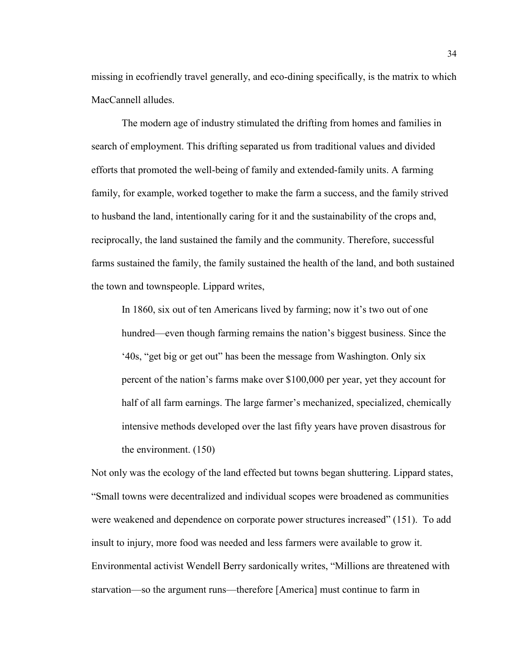missing in ecofriendly travel generally, and eco-dining specifically, is the matrix to which MacCannell alludes.

The modern age of industry stimulated the drifting from homes and families in search of employment. This drifting separated us from traditional values and divided efforts that promoted the well-being of family and extended-family units. A farming family, for example, worked together to make the farm a success, and the family strived to husband the land, intentionally caring for it and the sustainability of the crops and, reciprocally, the land sustained the family and the community. Therefore, successful farms sustained the family, the family sustained the health of the land, and both sustained the town and townspeople. Lippard writes,

In 1860, six out of ten Americans lived by farming; now it's two out of one hundred—even though farming remains the nation's biggest business. Since the '40s, "get big or get out" has been the message from Washington. Only six percent of the nation's farms make over \$100,000 per year, yet they account for half of all farm earnings. The large farmer's mechanized, specialized, chemically intensive methods developed over the last fifty years have proven disastrous for the environment. (150)

Not only was the ecology of the land effected but towns began shuttering. Lippard states, "Small towns were decentralized and individual scopes were broadened as communities were weakened and dependence on corporate power structures increased" (151). To add insult to injury, more food was needed and less farmers were available to grow it. Environmental activist Wendell Berry sardonically writes, "Millions are threatened with starvation—so the argument runs—therefore [America] must continue to farm in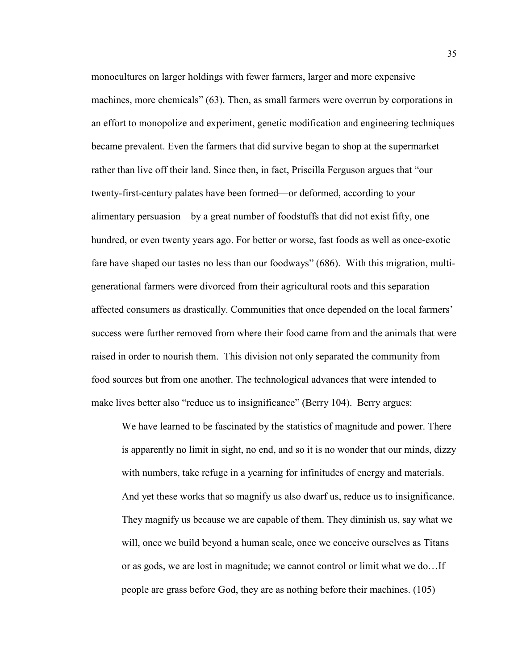monocultures on larger holdings with fewer farmers, larger and more expensive machines, more chemicals" (63). Then, as small farmers were overrun by corporations in an effort to monopolize and experiment, genetic modification and engineering techniques became prevalent. Even the farmers that did survive began to shop at the supermarket rather than live off their land. Since then, in fact, Priscilla Ferguson argues that "our twenty-first-century palates have been formed—or deformed, according to your alimentary persuasion—by a great number of foodstuffs that did not exist fifty, one hundred, or even twenty years ago. For better or worse, fast foods as well as once-exotic fare have shaped our tastes no less than our foodways" (686). With this migration, multigenerational farmers were divorced from their agricultural roots and this separation affected consumers as drastically. Communities that once depended on the local farmers' success were further removed from where their food came from and the animals that were raised in order to nourish them. This division not only separated the community from food sources but from one another. The technological advances that were intended to make lives better also "reduce us to insignificance" (Berry 104). Berry argues:

We have learned to be fascinated by the statistics of magnitude and power. There is apparently no limit in sight, no end, and so it is no wonder that our minds, dizzy with numbers, take refuge in a yearning for infinitudes of energy and materials. And yet these works that so magnify us also dwarf us, reduce us to insignificance. They magnify us because we are capable of them. They diminish us, say what we will, once we build beyond a human scale, once we conceive ourselves as Titans or as gods, we are lost in magnitude; we cannot control or limit what we do…If people are grass before God, they are as nothing before their machines. (105)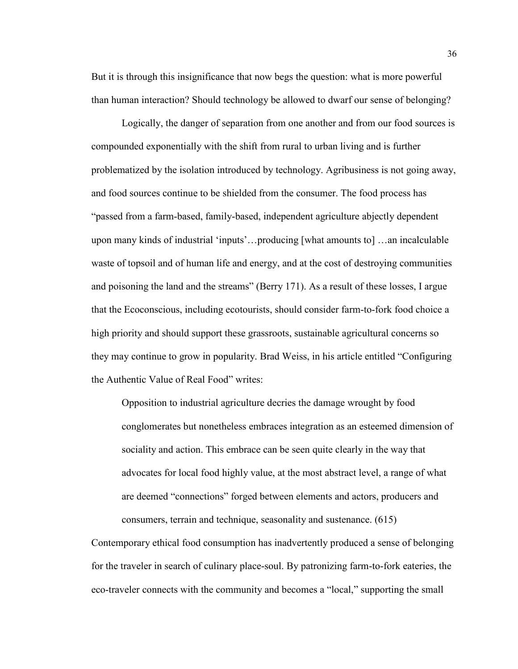But it is through this insignificance that now begs the question: what is more powerful than human interaction? Should technology be allowed to dwarf our sense of belonging?

Logically, the danger of separation from one another and from our food sources is compounded exponentially with the shift from rural to urban living and is further problematized by the isolation introduced by technology. Agribusiness is not going away, and food sources continue to be shielded from the consumer. The food process has "passed from a farm-based, family-based, independent agriculture abjectly dependent upon many kinds of industrial 'inputs'…producing [what amounts to] …an incalculable waste of topsoil and of human life and energy, and at the cost of destroying communities and poisoning the land and the streams" (Berry 171). As a result of these losses, I argue that the Ecoconscious, including ecotourists, should consider farm-to-fork food choice a high priority and should support these grassroots, sustainable agricultural concerns so they may continue to grow in popularity. Brad Weiss, in his article entitled "Configuring the Authentic Value of Real Food" writes:

Opposition to industrial agriculture decries the damage wrought by food conglomerates but nonetheless embraces integration as an esteemed dimension of sociality and action. This embrace can be seen quite clearly in the way that advocates for local food highly value, at the most abstract level, a range of what are deemed "connections" forged between elements and actors, producers and consumers, terrain and technique, seasonality and sustenance. (615)

Contemporary ethical food consumption has inadvertently produced a sense of belonging for the traveler in search of culinary place-soul. By patronizing farm-to-fork eateries, the eco-traveler connects with the community and becomes a "local," supporting the small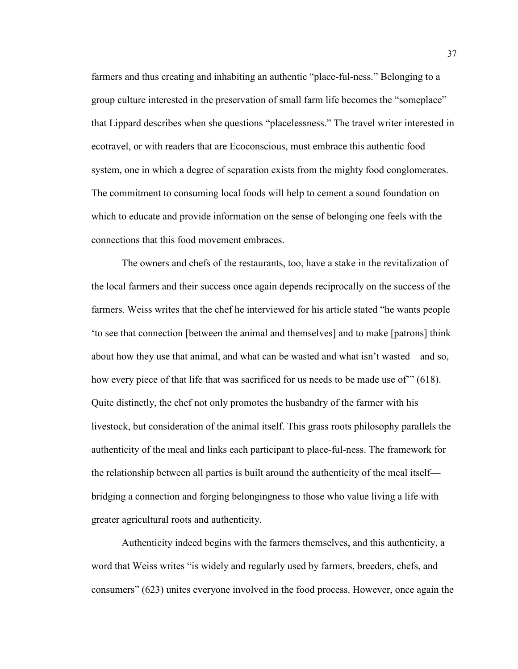farmers and thus creating and inhabiting an authentic "place-ful-ness." Belonging to a group culture interested in the preservation of small farm life becomes the "someplace" that Lippard describes when she questions "placelessness." The travel writer interested in ecotravel, or with readers that are Ecoconscious, must embrace this authentic food system, one in which a degree of separation exists from the mighty food conglomerates. The commitment to consuming local foods will help to cement a sound foundation on which to educate and provide information on the sense of belonging one feels with the connections that this food movement embraces.

The owners and chefs of the restaurants, too, have a stake in the revitalization of the local farmers and their success once again depends reciprocally on the success of the farmers. Weiss writes that the chef he interviewed for his article stated "he wants people 'to see that connection [between the animal and themselves] and to make [patrons] think about how they use that animal, and what can be wasted and what isn't wasted—and so, how every piece of that life that was sacrificed for us needs to be made use of'" (618). Quite distinctly, the chef not only promotes the husbandry of the farmer with his livestock, but consideration of the animal itself. This grass roots philosophy parallels the authenticity of the meal and links each participant to place-ful-ness. The framework for the relationship between all parties is built around the authenticity of the meal itself bridging a connection and forging belongingness to those who value living a life with greater agricultural roots and authenticity.

Authenticity indeed begins with the farmers themselves, and this authenticity, a word that Weiss writes "is widely and regularly used by farmers, breeders, chefs, and consumers" (623) unites everyone involved in the food process. However, once again the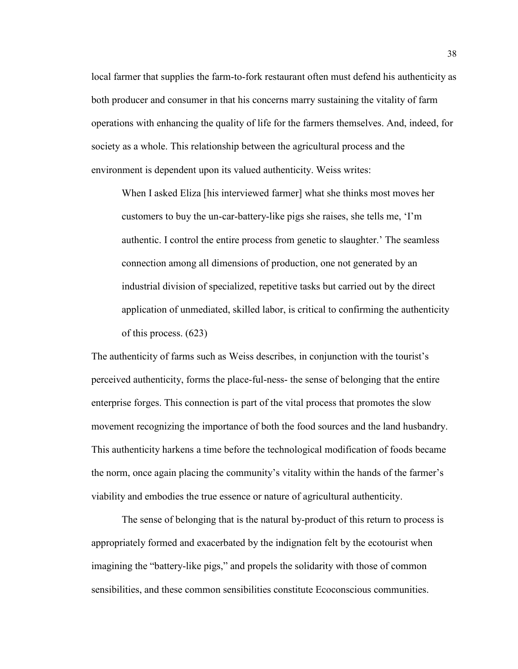local farmer that supplies the farm-to-fork restaurant often must defend his authenticity as both producer and consumer in that his concerns marry sustaining the vitality of farm operations with enhancing the quality of life for the farmers themselves. And, indeed, for society as a whole. This relationship between the agricultural process and the environment is dependent upon its valued authenticity. Weiss writes:

When I asked Eliza [his interviewed farmer] what she thinks most moves her customers to buy the un-car-battery-like pigs she raises, she tells me, 'I'm authentic. I control the entire process from genetic to slaughter.' The seamless connection among all dimensions of production, one not generated by an industrial division of specialized, repetitive tasks but carried out by the direct application of unmediated, skilled labor, is critical to confirming the authenticity of this process. (623)

The authenticity of farms such as Weiss describes, in conjunction with the tourist's perceived authenticity, forms the place-ful-ness- the sense of belonging that the entire enterprise forges. This connection is part of the vital process that promotes the slow movement recognizing the importance of both the food sources and the land husbandry. This authenticity harkens a time before the technological modification of foods became the norm, once again placing the community's vitality within the hands of the farmer's viability and embodies the true essence or nature of agricultural authenticity.

The sense of belonging that is the natural by-product of this return to process is appropriately formed and exacerbated by the indignation felt by the ecotourist when imagining the "battery-like pigs," and propels the solidarity with those of common sensibilities, and these common sensibilities constitute Ecoconscious communities.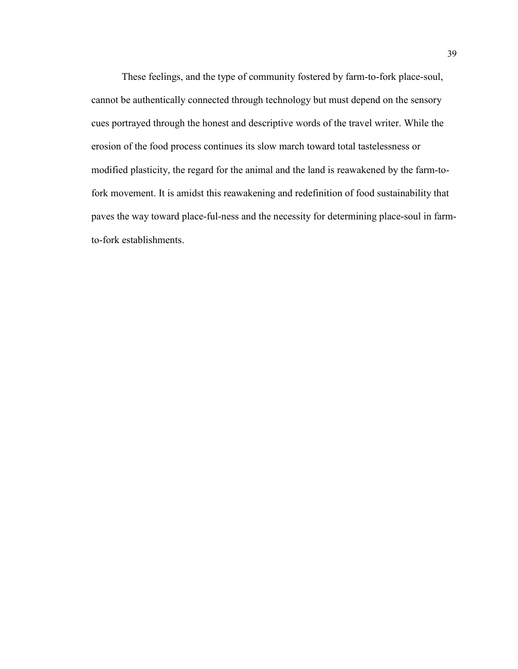These feelings, and the type of community fostered by farm-to-fork place-soul, cannot be authentically connected through technology but must depend on the sensory cues portrayed through the honest and descriptive words of the travel writer. While the erosion of the food process continues its slow march toward total tastelessness or modified plasticity, the regard for the animal and the land is reawakened by the farm-tofork movement. It is amidst this reawakening and redefinition of food sustainability that paves the way toward place-ful-ness and the necessity for determining place-soul in farmto-fork establishments.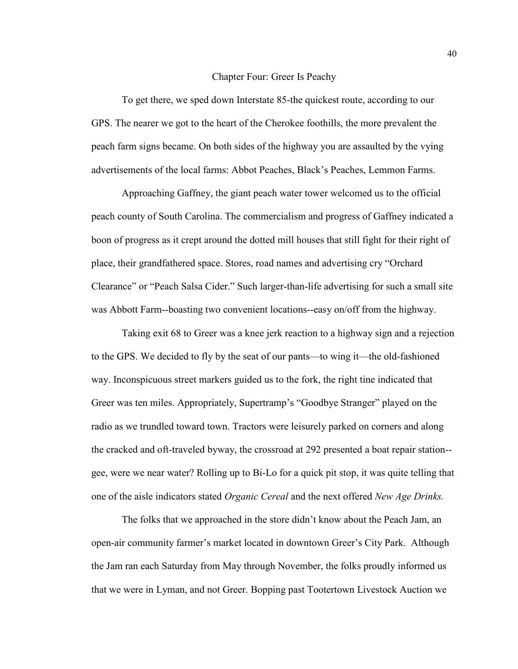#### Chapter Four: Greer Is Peachy

To get there, we sped down Interstate 85-the quickest route, according to our GPS. The nearer we got to the heart of the Cherokee foothills, the more prevalent the peach farm signs became. On both sides of the highway you are assaulted by the vying advertisements of the local farms: Abbot Peaches, Black's Peaches, Lemmon Farms.

Approaching Gaffney, the giant peach water tower welcomed us to the official peach county of South Carolina. The commercialism and progress of Gaffney indicated a boon of progress as it crept around the dotted mill houses that still fight for their right of place, their grandfathered space. Stores, road names and advertising cry "Orchard Clearance" or "Peach Salsa Cider." Such larger-than-life advertising for such a small site was Abbott Farm--boasting two convenient locations--easy on/off from the highway.

Taking exit 68 to Greer was a knee jerk reaction to a highway sign and a rejection to the GPS. We decided to fly by the seat of our pants—to wing it—the old-fashioned way. Inconspicuous street markers guided us to the fork, the right tine indicated that Greer was ten miles. Appropriately, Supertramp's "Goodbye Stranger" played on the radio as we trundled toward town. Tractors were leisurely parked on corners and along the cracked and oft-traveled byway, the crossroad at 292 presented a boat repair station- gee, were we near water? Rolling up to Bi-Lo for a quick pit stop, it was quite telling that one of the aisle indicators stated *Organic Cereal* and the next offered *New Age Drinks.* 

The folks that we approached in the store didn't know about the Peach Jam, an open-air community farmer's market located in downtown Greer's City Park. Although the Jam ran each Saturday from May through November, the folks proudly informed us that we were in Lyman, and not Greer. Bopping past Tootertown Livestock Auction we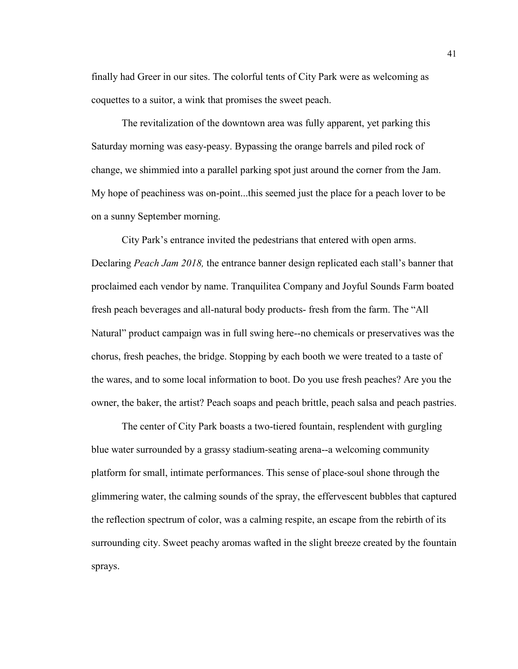finally had Greer in our sites. The colorful tents of City Park were as welcoming as coquettes to a suitor, a wink that promises the sweet peach.

The revitalization of the downtown area was fully apparent, yet parking this Saturday morning was easy-peasy. Bypassing the orange barrels and piled rock of change, we shimmied into a parallel parking spot just around the corner from the Jam. My hope of peachiness was on-point...this seemed just the place for a peach lover to be on a sunny September morning.

City Park's entrance invited the pedestrians that entered with open arms. Declaring *Peach Jam 2018,* the entrance banner design replicated each stall's banner that proclaimed each vendor by name. Tranquilitea Company and Joyful Sounds Farm boated fresh peach beverages and all-natural body products- fresh from the farm. The "All Natural" product campaign was in full swing here--no chemicals or preservatives was the chorus, fresh peaches, the bridge. Stopping by each booth we were treated to a taste of the wares, and to some local information to boot. Do you use fresh peaches? Are you the owner, the baker, the artist? Peach soaps and peach brittle, peach salsa and peach pastries.

The center of City Park boasts a two-tiered fountain, resplendent with gurgling blue water surrounded by a grassy stadium-seating arena--a welcoming community platform for small, intimate performances. This sense of place-soul shone through the glimmering water, the calming sounds of the spray, the effervescent bubbles that captured the reflection spectrum of color, was a calming respite, an escape from the rebirth of its surrounding city. Sweet peachy aromas wafted in the slight breeze created by the fountain sprays.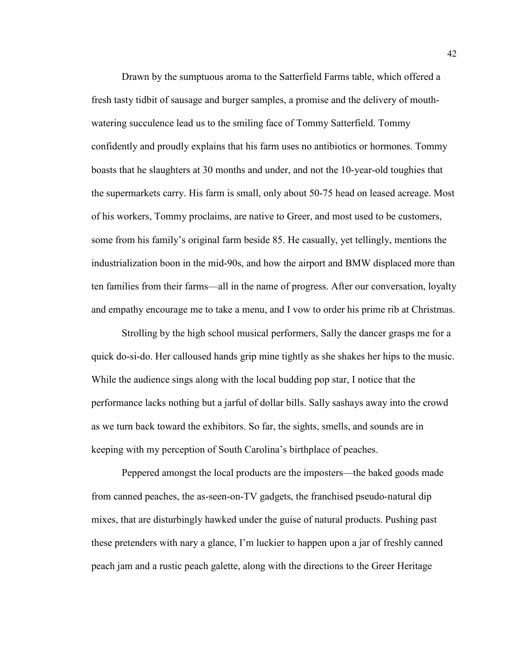Drawn by the sumptuous aroma to the Satterfield Farms table, which offered a fresh tasty tidbit of sausage and burger samples, a promise and the delivery of mouthwatering succulence lead us to the smiling face of Tommy Satterfield. Tommy confidently and proudly explains that his farm uses no antibiotics or hormones. Tommy boasts that he slaughters at 30 months and under, and not the 10-year-old toughies that the supermarkets carry. His farm is small, only about 50-75 head on leased acreage. Most of his workers, Tommy proclaims, are native to Greer, and most used to be customers, some from his family's original farm beside 85. He casually, yet tellingly, mentions the industrialization boon in the mid-90s, and how the airport and BMW displaced more than ten families from their farms—all in the name of progress. After our conversation, loyalty and empathy encourage me to take a menu, and I vow to order his prime rib at Christmas.

Strolling by the high school musical performers, Sally the dancer grasps me for a quick do-si-do. Her calloused hands grip mine tightly as she shakes her hips to the music. While the audience sings along with the local budding pop star, I notice that the performance lacks nothing but a jarful of dollar bills. Sally sashays away into the crowd as we turn back toward the exhibitors. So far, the sights, smells, and sounds are in keeping with my perception of South Carolina's birthplace of peaches.

Peppered amongst the local products are the imposters—the baked goods made from canned peaches, the as-seen-on-TV gadgets, the franchised pseudo-natural dip mixes, that are disturbingly hawked under the guise of natural products. Pushing past these pretenders with nary a glance, I'm luckier to happen upon a jar of freshly canned peach jam and a rustic peach galette, along with the directions to the Greer Heritage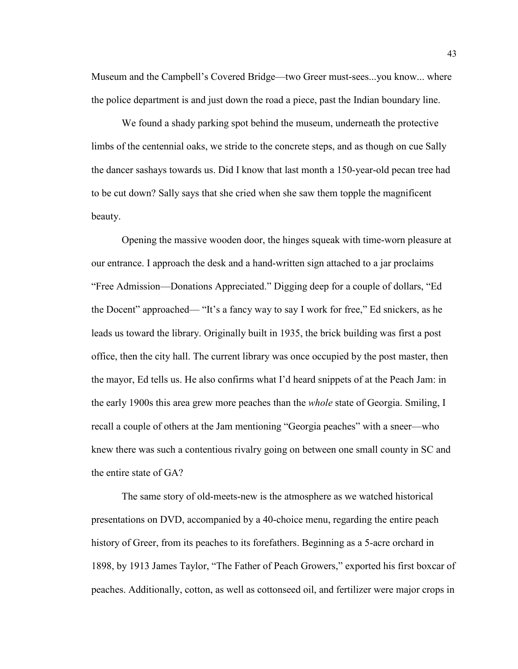Museum and the Campbell's Covered Bridge—two Greer must-sees...you know... where the police department is and just down the road a piece, past the Indian boundary line.

We found a shady parking spot behind the museum, underneath the protective limbs of the centennial oaks, we stride to the concrete steps, and as though on cue Sally the dancer sashays towards us. Did I know that last month a 150-year-old pecan tree had to be cut down? Sally says that she cried when she saw them topple the magnificent beauty.

Opening the massive wooden door, the hinges squeak with time-worn pleasure at our entrance. I approach the desk and a hand-written sign attached to a jar proclaims "Free Admission—Donations Appreciated." Digging deep for a couple of dollars, "Ed the Docent" approached— "It's a fancy way to say I work for free," Ed snickers, as he leads us toward the library. Originally built in 1935, the brick building was first a post office, then the city hall. The current library was once occupied by the post master, then the mayor, Ed tells us. He also confirms what I'd heard snippets of at the Peach Jam: in the early 1900s this area grew more peaches than the *whole* state of Georgia. Smiling, I recall a couple of others at the Jam mentioning "Georgia peaches" with a sneer—who knew there was such a contentious rivalry going on between one small county in SC and the entire state of GA?

The same story of old-meets-new is the atmosphere as we watched historical presentations on DVD, accompanied by a 40-choice menu, regarding the entire peach history of Greer, from its peaches to its forefathers. Beginning as a 5-acre orchard in 1898, by 1913 James Taylor, "The Father of Peach Growers," exported his first boxcar of peaches. Additionally, cotton, as well as cottonseed oil, and fertilizer were major crops in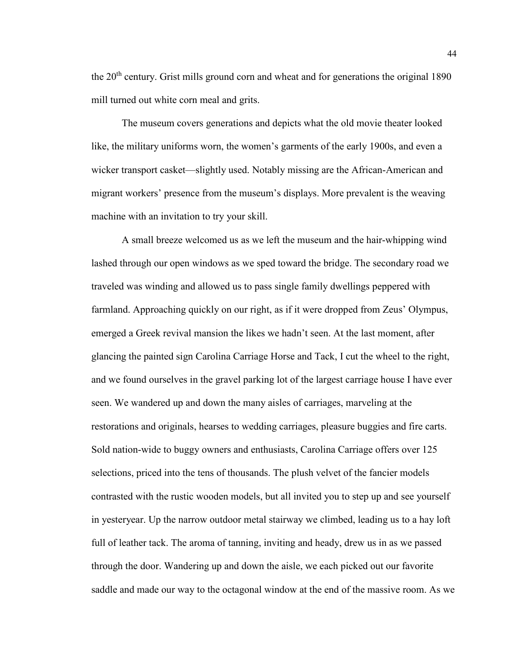the 20<sup>th</sup> century. Grist mills ground corn and wheat and for generations the original 1890 mill turned out white corn meal and grits.

The museum covers generations and depicts what the old movie theater looked like, the military uniforms worn, the women's garments of the early 1900s, and even a wicker transport casket—slightly used. Notably missing are the African-American and migrant workers' presence from the museum's displays. More prevalent is the weaving machine with an invitation to try your skill.

A small breeze welcomed us as we left the museum and the hair-whipping wind lashed through our open windows as we sped toward the bridge. The secondary road we traveled was winding and allowed us to pass single family dwellings peppered with farmland. Approaching quickly on our right, as if it were dropped from Zeus' Olympus, emerged a Greek revival mansion the likes we hadn't seen. At the last moment, after glancing the painted sign Carolina Carriage Horse and Tack, I cut the wheel to the right, and we found ourselves in the gravel parking lot of the largest carriage house I have ever seen. We wandered up and down the many aisles of carriages, marveling at the restorations and originals, hearses to wedding carriages, pleasure buggies and fire carts. Sold nation-wide to buggy owners and enthusiasts, Carolina Carriage offers over 125 selections, priced into the tens of thousands. The plush velvet of the fancier models contrasted with the rustic wooden models, but all invited you to step up and see yourself in yesteryear. Up the narrow outdoor metal stairway we climbed, leading us to a hay loft full of leather tack. The aroma of tanning, inviting and heady, drew us in as we passed through the door. Wandering up and down the aisle, we each picked out our favorite saddle and made our way to the octagonal window at the end of the massive room. As we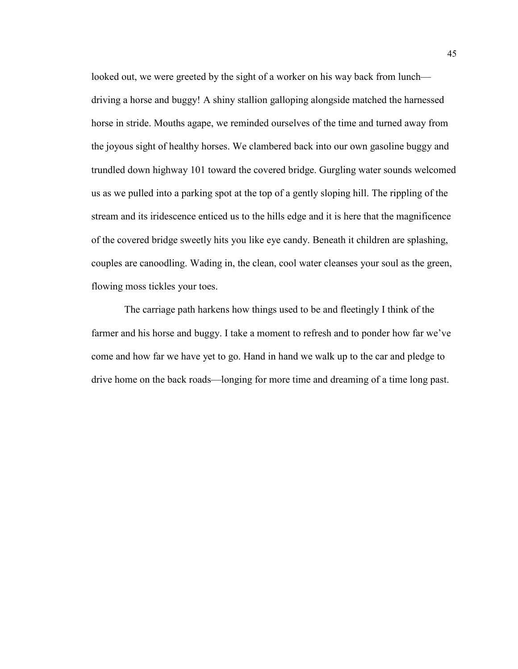looked out, we were greeted by the sight of a worker on his way back from lunch driving a horse and buggy! A shiny stallion galloping alongside matched the harnessed horse in stride. Mouths agape, we reminded ourselves of the time and turned away from the joyous sight of healthy horses. We clambered back into our own gasoline buggy and trundled down highway 101 toward the covered bridge. Gurgling water sounds welcomed us as we pulled into a parking spot at the top of a gently sloping hill. The rippling of the stream and its iridescence enticed us to the hills edge and it is here that the magnificence of the covered bridge sweetly hits you like eye candy. Beneath it children are splashing, couples are canoodling. Wading in, the clean, cool water cleanses your soul as the green, flowing moss tickles your toes.

The carriage path harkens how things used to be and fleetingly I think of the farmer and his horse and buggy. I take a moment to refresh and to ponder how far we've come and how far we have yet to go. Hand in hand we walk up to the car and pledge to drive home on the back roads—longing for more time and dreaming of a time long past.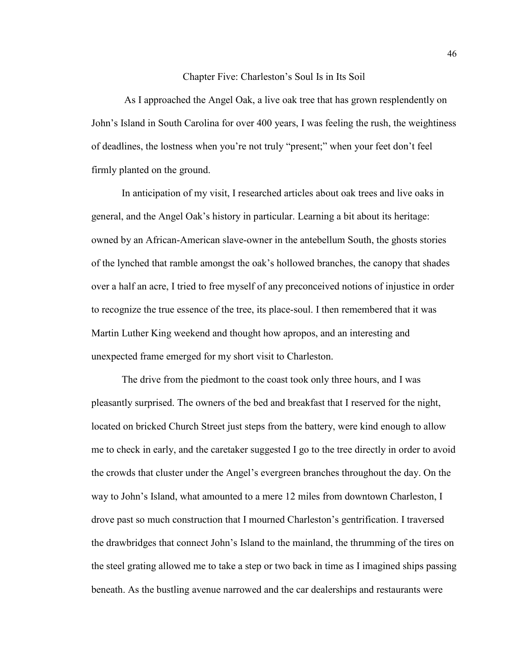#### Chapter Five: Charleston's Soul Is in Its Soil

As I approached the Angel Oak, a live oak tree that has grown resplendently on John's Island in South Carolina for over 400 years, I was feeling the rush, the weightiness of deadlines, the lostness when you're not truly "present;" when your feet don't feel firmly planted on the ground.

In anticipation of my visit, I researched articles about oak trees and live oaks in general, and the Angel Oak's history in particular. Learning a bit about its heritage: owned by an African-American slave-owner in the antebellum South, the ghosts stories of the lynched that ramble amongst the oak's hollowed branches, the canopy that shades over a half an acre, I tried to free myself of any preconceived notions of injustice in order to recognize the true essence of the tree, its place-soul. I then remembered that it was Martin Luther King weekend and thought how apropos, and an interesting and unexpected frame emerged for my short visit to Charleston.

The drive from the piedmont to the coast took only three hours, and I was pleasantly surprised. The owners of the bed and breakfast that I reserved for the night, located on bricked Church Street just steps from the battery, were kind enough to allow me to check in early, and the caretaker suggested I go to the tree directly in order to avoid the crowds that cluster under the Angel's evergreen branches throughout the day. On the way to John's Island, what amounted to a mere 12 miles from downtown Charleston, I drove past so much construction that I mourned Charleston's gentrification. I traversed the drawbridges that connect John's Island to the mainland, the thrumming of the tires on the steel grating allowed me to take a step or two back in time as I imagined ships passing beneath. As the bustling avenue narrowed and the car dealerships and restaurants were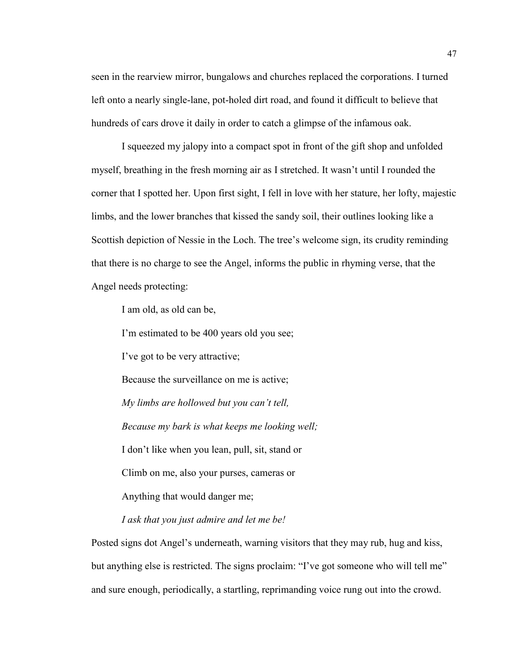seen in the rearview mirror, bungalows and churches replaced the corporations. I turned left onto a nearly single-lane, pot-holed dirt road, and found it difficult to believe that hundreds of cars drove it daily in order to catch a glimpse of the infamous oak.

I squeezed my jalopy into a compact spot in front of the gift shop and unfolded myself, breathing in the fresh morning air as I stretched. It wasn't until I rounded the corner that I spotted her. Upon first sight, I fell in love with her stature, her lofty, majestic limbs, and the lower branches that kissed the sandy soil, their outlines looking like a Scottish depiction of Nessie in the Loch. The tree's welcome sign, its crudity reminding that there is no charge to see the Angel, informs the public in rhyming verse, that the Angel needs protecting:

I am old, as old can be,

I'm estimated to be 400 years old you see;

I've got to be very attractive;

Because the surveillance on me is active;

*My limbs are hollowed but you can't tell,*

*Because my bark is what keeps me looking well;*

I don't like when you lean, pull, sit, stand or

Climb on me, also your purses, cameras or

Anything that would danger me;

*I ask that you just admire and let me be!*

Posted signs dot Angel's underneath, warning visitors that they may rub, hug and kiss, but anything else is restricted. The signs proclaim: "I've got someone who will tell me" and sure enough, periodically, a startling, reprimanding voice rung out into the crowd.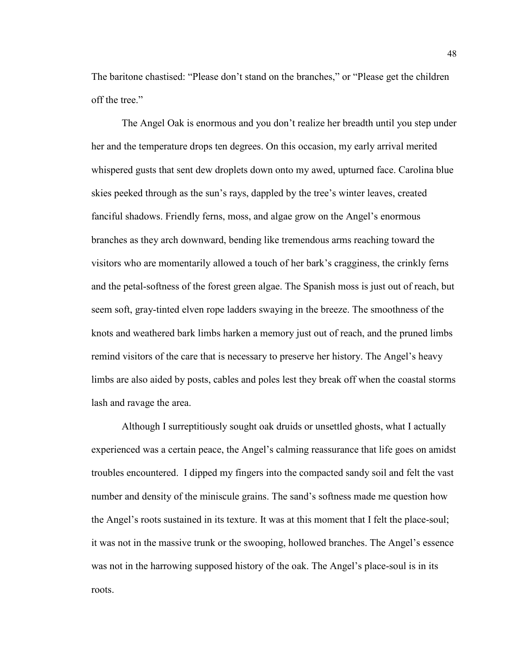The baritone chastised: "Please don't stand on the branches," or "Please get the children off the tree."

The Angel Oak is enormous and you don't realize her breadth until you step under her and the temperature drops ten degrees. On this occasion, my early arrival merited whispered gusts that sent dew droplets down onto my awed, upturned face. Carolina blue skies peeked through as the sun's rays, dappled by the tree's winter leaves, created fanciful shadows. Friendly ferns, moss, and algae grow on the Angel's enormous branches as they arch downward, bending like tremendous arms reaching toward the visitors who are momentarily allowed a touch of her bark's cragginess, the crinkly ferns and the petal-softness of the forest green algae. The Spanish moss is just out of reach, but seem soft, gray-tinted elven rope ladders swaying in the breeze. The smoothness of the knots and weathered bark limbs harken a memory just out of reach, and the pruned limbs remind visitors of the care that is necessary to preserve her history. The Angel's heavy limbs are also aided by posts, cables and poles lest they break off when the coastal storms lash and ravage the area.

Although I surreptitiously sought oak druids or unsettled ghosts, what I actually experienced was a certain peace, the Angel's calming reassurance that life goes on amidst troubles encountered. I dipped my fingers into the compacted sandy soil and felt the vast number and density of the miniscule grains. The sand's softness made me question how the Angel's roots sustained in its texture. It was at this moment that I felt the place-soul; it was not in the massive trunk or the swooping, hollowed branches. The Angel's essence was not in the harrowing supposed history of the oak. The Angel's place-soul is in its roots.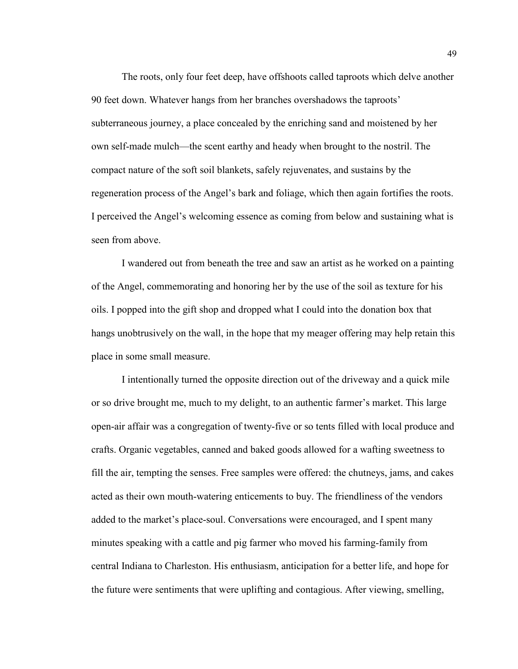The roots, only four feet deep, have offshoots called taproots which delve another 90 feet down. Whatever hangs from her branches overshadows the taproots' subterraneous journey, a place concealed by the enriching sand and moistened by her own self-made mulch—the scent earthy and heady when brought to the nostril. The compact nature of the soft soil blankets, safely rejuvenates, and sustains by the regeneration process of the Angel's bark and foliage, which then again fortifies the roots. I perceived the Angel's welcoming essence as coming from below and sustaining what is seen from above.

I wandered out from beneath the tree and saw an artist as he worked on a painting of the Angel, commemorating and honoring her by the use of the soil as texture for his oils. I popped into the gift shop and dropped what I could into the donation box that hangs unobtrusively on the wall, in the hope that my meager offering may help retain this place in some small measure.

I intentionally turned the opposite direction out of the driveway and a quick mile or so drive brought me, much to my delight, to an authentic farmer's market. This large open-air affair was a congregation of twenty-five or so tents filled with local produce and crafts. Organic vegetables, canned and baked goods allowed for a wafting sweetness to fill the air, tempting the senses. Free samples were offered: the chutneys, jams, and cakes acted as their own mouth-watering enticements to buy. The friendliness of the vendors added to the market's place-soul. Conversations were encouraged, and I spent many minutes speaking with a cattle and pig farmer who moved his farming-family from central Indiana to Charleston. His enthusiasm, anticipation for a better life, and hope for the future were sentiments that were uplifting and contagious. After viewing, smelling,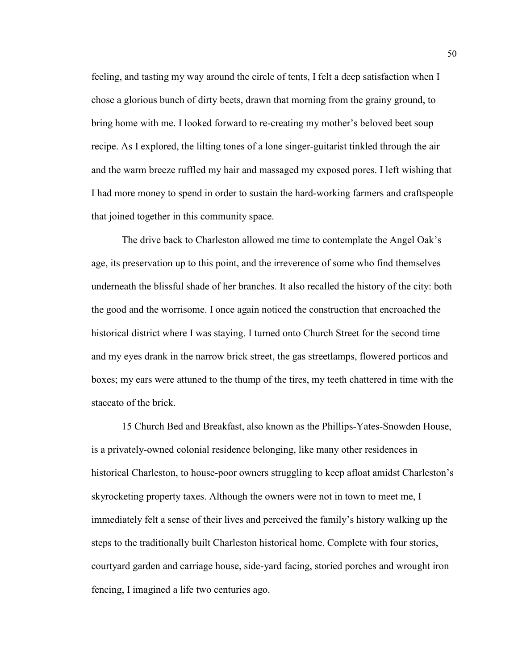feeling, and tasting my way around the circle of tents, I felt a deep satisfaction when I chose a glorious bunch of dirty beets, drawn that morning from the grainy ground, to bring home with me. I looked forward to re-creating my mother's beloved beet soup recipe. As I explored, the lilting tones of a lone singer-guitarist tinkled through the air and the warm breeze ruffled my hair and massaged my exposed pores. I left wishing that I had more money to spend in order to sustain the hard-working farmers and craftspeople that joined together in this community space.

The drive back to Charleston allowed me time to contemplate the Angel Oak's age, its preservation up to this point, and the irreverence of some who find themselves underneath the blissful shade of her branches. It also recalled the history of the city: both the good and the worrisome. I once again noticed the construction that encroached the historical district where I was staying. I turned onto Church Street for the second time and my eyes drank in the narrow brick street, the gas streetlamps, flowered porticos and boxes; my ears were attuned to the thump of the tires, my teeth chattered in time with the staccato of the brick.

15 Church Bed and Breakfast, also known as the Phillips-Yates-Snowden House, is a privately-owned colonial residence belonging, like many other residences in historical Charleston, to house-poor owners struggling to keep afloat amidst Charleston's skyrocketing property taxes. Although the owners were not in town to meet me, I immediately felt a sense of their lives and perceived the family's history walking up the steps to the traditionally built Charleston historical home. Complete with four stories, courtyard garden and carriage house, side-yard facing, storied porches and wrought iron fencing, I imagined a life two centuries ago.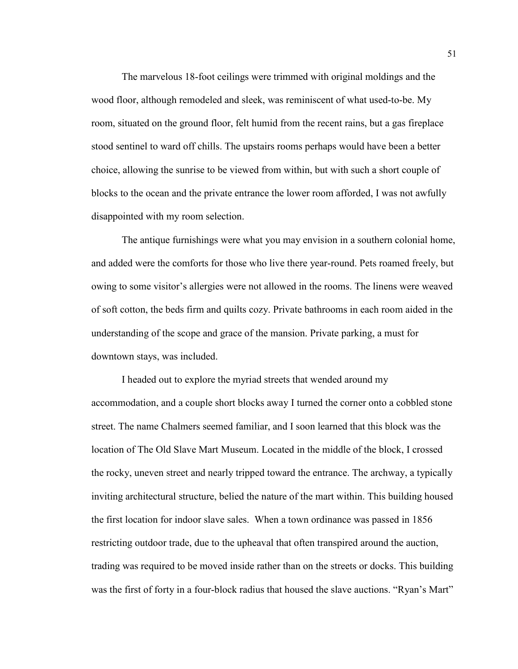The marvelous 18-foot ceilings were trimmed with original moldings and the wood floor, although remodeled and sleek, was reminiscent of what used-to-be. My room, situated on the ground floor, felt humid from the recent rains, but a gas fireplace stood sentinel to ward off chills. The upstairs rooms perhaps would have been a better choice, allowing the sunrise to be viewed from within, but with such a short couple of blocks to the ocean and the private entrance the lower room afforded, I was not awfully disappointed with my room selection.

The antique furnishings were what you may envision in a southern colonial home, and added were the comforts for those who live there year-round. Pets roamed freely, but owing to some visitor's allergies were not allowed in the rooms. The linens were weaved of soft cotton, the beds firm and quilts cozy. Private bathrooms in each room aided in the understanding of the scope and grace of the mansion. Private parking, a must for downtown stays, was included.

I headed out to explore the myriad streets that wended around my accommodation, and a couple short blocks away I turned the corner onto a cobbled stone street. The name Chalmers seemed familiar, and I soon learned that this block was the location of The Old Slave Mart Museum. Located in the middle of the block, I crossed the rocky, uneven street and nearly tripped toward the entrance. The archway, a typically inviting architectural structure, belied the nature of the mart within. This building housed the first location for indoor slave sales. When a town ordinance was passed in 1856 restricting outdoor trade, due to the upheaval that often transpired around the auction, trading was required to be moved inside rather than on the streets or docks. This building was the first of forty in a four-block radius that housed the slave auctions. "Ryan's Mart"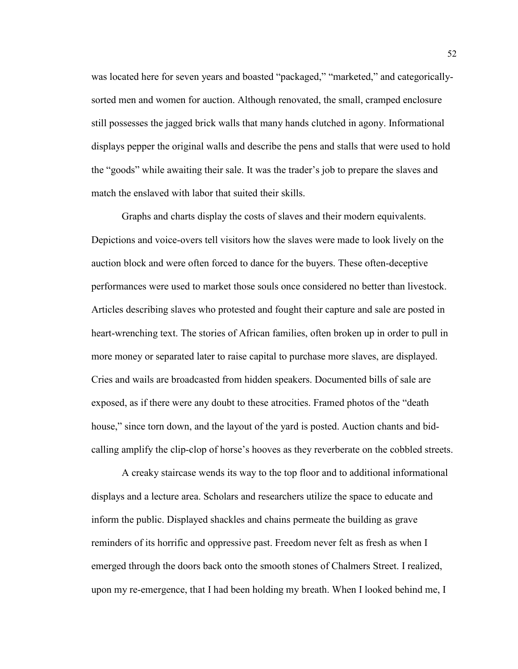was located here for seven years and boasted "packaged," "marketed," and categoricallysorted men and women for auction. Although renovated, the small, cramped enclosure still possesses the jagged brick walls that many hands clutched in agony. Informational displays pepper the original walls and describe the pens and stalls that were used to hold the "goods" while awaiting their sale. It was the trader's job to prepare the slaves and match the enslaved with labor that suited their skills.

Graphs and charts display the costs of slaves and their modern equivalents. Depictions and voice-overs tell visitors how the slaves were made to look lively on the auction block and were often forced to dance for the buyers. These often-deceptive performances were used to market those souls once considered no better than livestock. Articles describing slaves who protested and fought their capture and sale are posted in heart-wrenching text. The stories of African families, often broken up in order to pull in more money or separated later to raise capital to purchase more slaves, are displayed. Cries and wails are broadcasted from hidden speakers. Documented bills of sale are exposed, as if there were any doubt to these atrocities. Framed photos of the "death house," since torn down, and the layout of the yard is posted. Auction chants and bidcalling amplify the clip-clop of horse's hooves as they reverberate on the cobbled streets.

A creaky staircase wends its way to the top floor and to additional informational displays and a lecture area. Scholars and researchers utilize the space to educate and inform the public. Displayed shackles and chains permeate the building as grave reminders of its horrific and oppressive past. Freedom never felt as fresh as when I emerged through the doors back onto the smooth stones of Chalmers Street. I realized, upon my re-emergence, that I had been holding my breath. When I looked behind me, I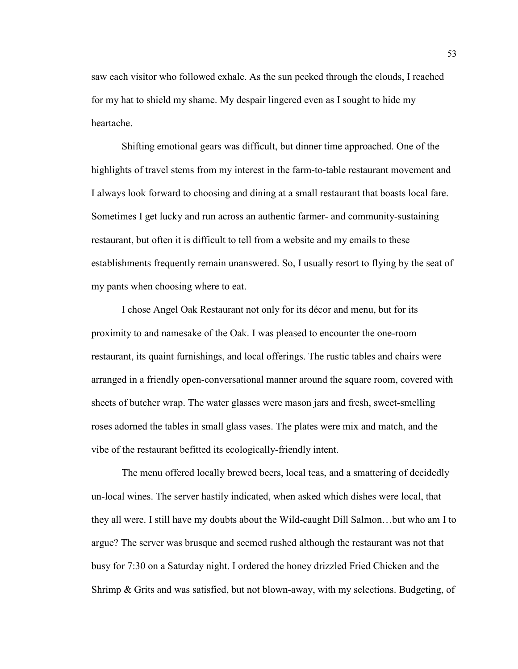saw each visitor who followed exhale. As the sun peeked through the clouds, I reached for my hat to shield my shame. My despair lingered even as I sought to hide my heartache.

Shifting emotional gears was difficult, but dinner time approached. One of the highlights of travel stems from my interest in the farm-to-table restaurant movement and I always look forward to choosing and dining at a small restaurant that boasts local fare. Sometimes I get lucky and run across an authentic farmer- and community-sustaining restaurant, but often it is difficult to tell from a website and my emails to these establishments frequently remain unanswered. So, I usually resort to flying by the seat of my pants when choosing where to eat.

I chose Angel Oak Restaurant not only for its décor and menu, but for its proximity to and namesake of the Oak. I was pleased to encounter the one-room restaurant, its quaint furnishings, and local offerings. The rustic tables and chairs were arranged in a friendly open-conversational manner around the square room, covered with sheets of butcher wrap. The water glasses were mason jars and fresh, sweet-smelling roses adorned the tables in small glass vases. The plates were mix and match, and the vibe of the restaurant befitted its ecologically-friendly intent.

The menu offered locally brewed beers, local teas, and a smattering of decidedly un-local wines. The server hastily indicated, when asked which dishes were local, that they all were. I still have my doubts about the Wild-caught Dill Salmon…but who am I to argue? The server was brusque and seemed rushed although the restaurant was not that busy for 7:30 on a Saturday night. I ordered the honey drizzled Fried Chicken and the Shrimp & Grits and was satisfied, but not blown-away, with my selections. Budgeting, of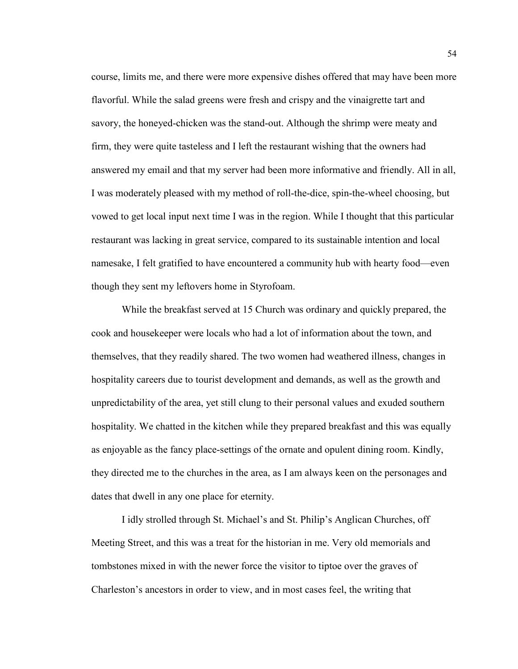course, limits me, and there were more expensive dishes offered that may have been more flavorful. While the salad greens were fresh and crispy and the vinaigrette tart and savory, the honeyed-chicken was the stand-out. Although the shrimp were meaty and firm, they were quite tasteless and I left the restaurant wishing that the owners had answered my email and that my server had been more informative and friendly. All in all, I was moderately pleased with my method of roll-the-dice, spin-the-wheel choosing, but vowed to get local input next time I was in the region. While I thought that this particular restaurant was lacking in great service, compared to its sustainable intention and local namesake, I felt gratified to have encountered a community hub with hearty food—even though they sent my leftovers home in Styrofoam.

While the breakfast served at 15 Church was ordinary and quickly prepared, the cook and housekeeper were locals who had a lot of information about the town, and themselves, that they readily shared. The two women had weathered illness, changes in hospitality careers due to tourist development and demands, as well as the growth and unpredictability of the area, yet still clung to their personal values and exuded southern hospitality. We chatted in the kitchen while they prepared breakfast and this was equally as enjoyable as the fancy place-settings of the ornate and opulent dining room. Kindly, they directed me to the churches in the area, as I am always keen on the personages and dates that dwell in any one place for eternity.

I idly strolled through St. Michael's and St. Philip's Anglican Churches, off Meeting Street, and this was a treat for the historian in me. Very old memorials and tombstones mixed in with the newer force the visitor to tiptoe over the graves of Charleston's ancestors in order to view, and in most cases feel, the writing that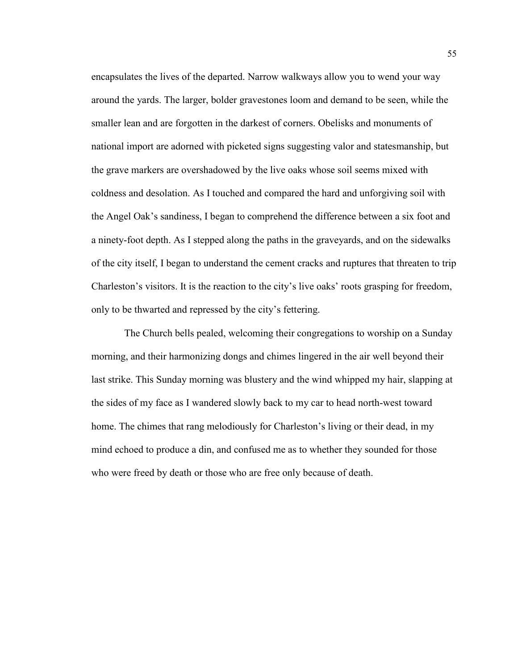encapsulates the lives of the departed. Narrow walkways allow you to wend your way around the yards. The larger, bolder gravestones loom and demand to be seen, while the smaller lean and are forgotten in the darkest of corners. Obelisks and monuments of national import are adorned with picketed signs suggesting valor and statesmanship, but the grave markers are overshadowed by the live oaks whose soil seems mixed with coldness and desolation. As I touched and compared the hard and unforgiving soil with the Angel Oak's sandiness, I began to comprehend the difference between a six foot and a ninety-foot depth. As I stepped along the paths in the graveyards, and on the sidewalks of the city itself, I began to understand the cement cracks and ruptures that threaten to trip Charleston's visitors. It is the reaction to the city's live oaks' roots grasping for freedom, only to be thwarted and repressed by the city's fettering.

The Church bells pealed, welcoming their congregations to worship on a Sunday morning, and their harmonizing dongs and chimes lingered in the air well beyond their last strike. This Sunday morning was blustery and the wind whipped my hair, slapping at the sides of my face as I wandered slowly back to my car to head north-west toward home. The chimes that rang melodiously for Charleston's living or their dead, in my mind echoed to produce a din, and confused me as to whether they sounded for those who were freed by death or those who are free only because of death.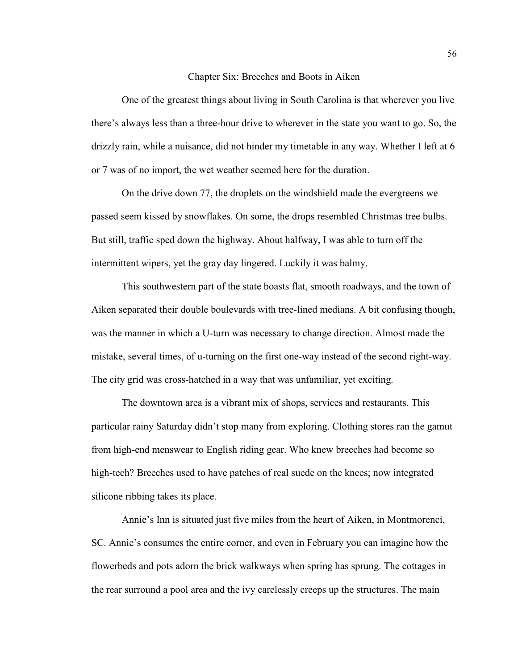#### Chapter Six: Breeches and Boots in Aiken

One of the greatest things about living in South Carolina is that wherever you live there's always less than a three-hour drive to wherever in the state you want to go. So, the drizzly rain, while a nuisance, did not hinder my timetable in any way. Whether I left at 6 or 7 was of no import, the wet weather seemed here for the duration.

On the drive down 77, the droplets on the windshield made the evergreens we passed seem kissed by snowflakes. On some, the drops resembled Christmas tree bulbs. But still, traffic sped down the highway. About halfway, I was able to turn off the intermittent wipers, yet the gray day lingered. Luckily it was balmy.

This southwestern part of the state boasts flat, smooth roadways, and the town of Aiken separated their double boulevards with tree-lined medians. A bit confusing though, was the manner in which a U-turn was necessary to change direction. Almost made the mistake, several times, of u-turning on the first one-way instead of the second right-way. The city grid was cross-hatched in a way that was unfamiliar, yet exciting.

The downtown area is a vibrant mix of shops, services and restaurants. This particular rainy Saturday didn't stop many from exploring. Clothing stores ran the gamut from high-end menswear to English riding gear. Who knew breeches had become so high-tech? Breeches used to have patches of real suede on the knees; now integrated silicone ribbing takes its place.

Annie's Inn is situated just five miles from the heart of Aiken, in Montmorenci, SC. Annie's consumes the entire corner, and even in February you can imagine how the flowerbeds and pots adorn the brick walkways when spring has sprung. The cottages in the rear surround a pool area and the ivy carelessly creeps up the structures. The main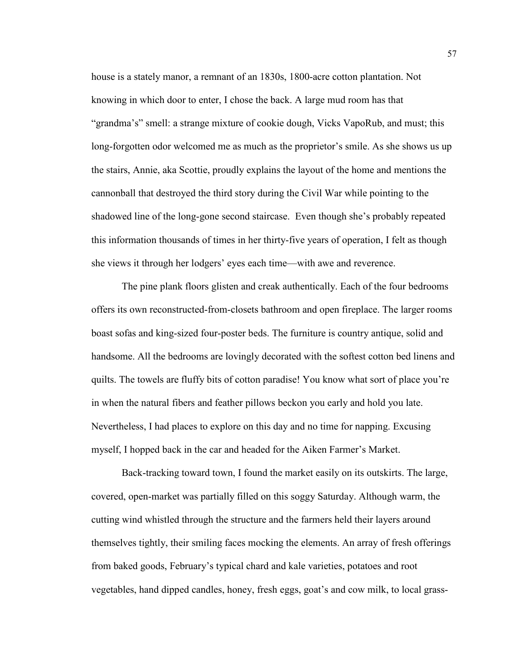house is a stately manor, a remnant of an 1830s, 1800-acre cotton plantation. Not knowing in which door to enter, I chose the back. A large mud room has that "grandma's" smell: a strange mixture of cookie dough, Vicks VapoRub, and must; this long-forgotten odor welcomed me as much as the proprietor's smile. As she shows us up the stairs, Annie, aka Scottie, proudly explains the layout of the home and mentions the cannonball that destroyed the third story during the Civil War while pointing to the shadowed line of the long-gone second staircase. Even though she's probably repeated this information thousands of times in her thirty-five years of operation, I felt as though she views it through her lodgers' eyes each time—with awe and reverence.

The pine plank floors glisten and creak authentically. Each of the four bedrooms offers its own reconstructed-from-closets bathroom and open fireplace. The larger rooms boast sofas and king-sized four-poster beds. The furniture is country antique, solid and handsome. All the bedrooms are lovingly decorated with the softest cotton bed linens and quilts. The towels are fluffy bits of cotton paradise! You know what sort of place you're in when the natural fibers and feather pillows beckon you early and hold you late. Nevertheless, I had places to explore on this day and no time for napping. Excusing myself, I hopped back in the car and headed for the Aiken Farmer's Market.

Back-tracking toward town, I found the market easily on its outskirts. The large, covered, open-market was partially filled on this soggy Saturday. Although warm, the cutting wind whistled through the structure and the farmers held their layers around themselves tightly, their smiling faces mocking the elements. An array of fresh offerings from baked goods, February's typical chard and kale varieties, potatoes and root vegetables, hand dipped candles, honey, fresh eggs, goat's and cow milk, to local grass-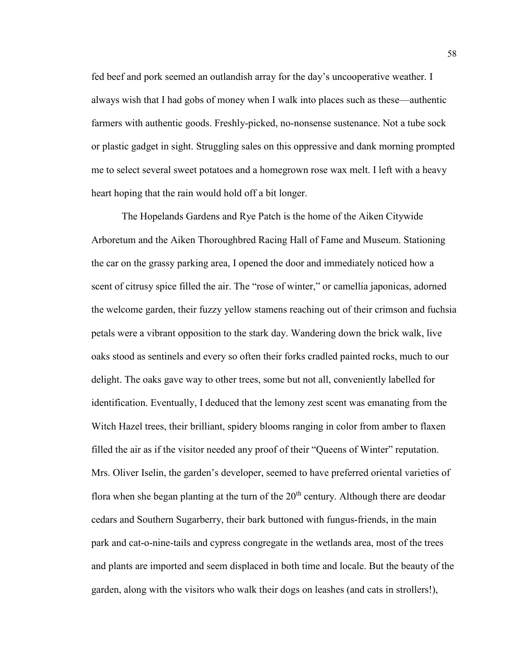fed beef and pork seemed an outlandish array for the day's uncooperative weather. I always wish that I had gobs of money when I walk into places such as these—authentic farmers with authentic goods. Freshly-picked, no-nonsense sustenance. Not a tube sock or plastic gadget in sight. Struggling sales on this oppressive and dank morning prompted me to select several sweet potatoes and a homegrown rose wax melt. I left with a heavy heart hoping that the rain would hold off a bit longer.

The Hopelands Gardens and Rye Patch is the home of the Aiken Citywide Arboretum and the Aiken Thoroughbred Racing Hall of Fame and Museum. Stationing the car on the grassy parking area, I opened the door and immediately noticed how a scent of citrusy spice filled the air. The "rose of winter," or camellia japonicas, adorned the welcome garden, their fuzzy yellow stamens reaching out of their crimson and fuchsia petals were a vibrant opposition to the stark day. Wandering down the brick walk, live oaks stood as sentinels and every so often their forks cradled painted rocks, much to our delight. The oaks gave way to other trees, some but not all, conveniently labelled for identification. Eventually, I deduced that the lemony zest scent was emanating from the Witch Hazel trees, their brilliant, spidery blooms ranging in color from amber to flaxen filled the air as if the visitor needed any proof of their "Queens of Winter" reputation. Mrs. Oliver Iselin, the garden's developer, seemed to have preferred oriental varieties of flora when she began planting at the turn of the  $20<sup>th</sup>$  century. Although there are deodar cedars and Southern Sugarberry, their bark buttoned with fungus-friends, in the main park and cat-o-nine-tails and cypress congregate in the wetlands area, most of the trees and plants are imported and seem displaced in both time and locale. But the beauty of the garden, along with the visitors who walk their dogs on leashes (and cats in strollers!),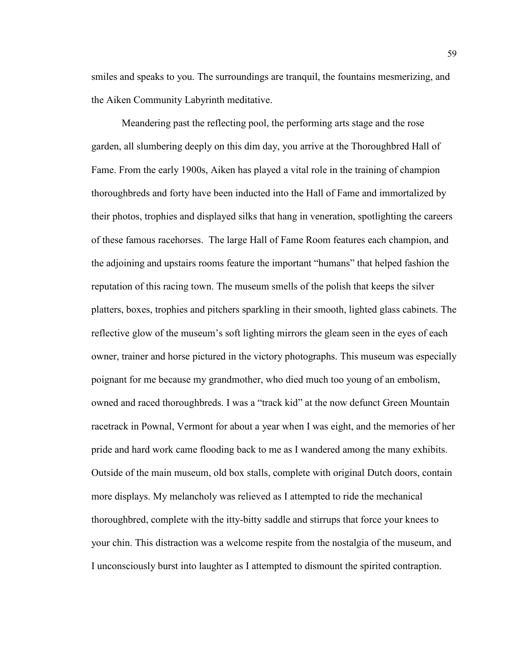smiles and speaks to you. The surroundings are tranquil, the fountains mesmerizing, and the Aiken Community Labyrinth meditative.

Meandering past the reflecting pool, the performing arts stage and the rose garden, all slumbering deeply on this dim day, you arrive at the Thoroughbred Hall of Fame. From the early 1900s, Aiken has played a vital role in the training of champion thoroughbreds and forty have been inducted into the Hall of Fame and immortalized by their photos, trophies and displayed silks that hang in veneration, spotlighting the careers of these famous racehorses. The large Hall of Fame Room features each champion, and the adjoining and upstairs rooms feature the important "humans" that helped fashion the reputation of this racing town. The museum smells of the polish that keeps the silver platters, boxes, trophies and pitchers sparkling in their smooth, lighted glass cabinets. The reflective glow of the museum's soft lighting mirrors the gleam seen in the eyes of each owner, trainer and horse pictured in the victory photographs. This museum was especially poignant for me because my grandmother, who died much too young of an embolism, owned and raced thoroughbreds. I was a "track kid" at the now defunct Green Mountain racetrack in Pownal, Vermont for about a year when I was eight, and the memories of her pride and hard work came flooding back to me as I wandered among the many exhibits. Outside of the main museum, old box stalls, complete with original Dutch doors, contain more displays. My melancholy was relieved as I attempted to ride the mechanical thoroughbred, complete with the itty-bitty saddle and stirrups that force your knees to your chin. This distraction was a welcome respite from the nostalgia of the museum, and I unconsciously burst into laughter as I attempted to dismount the spirited contraption.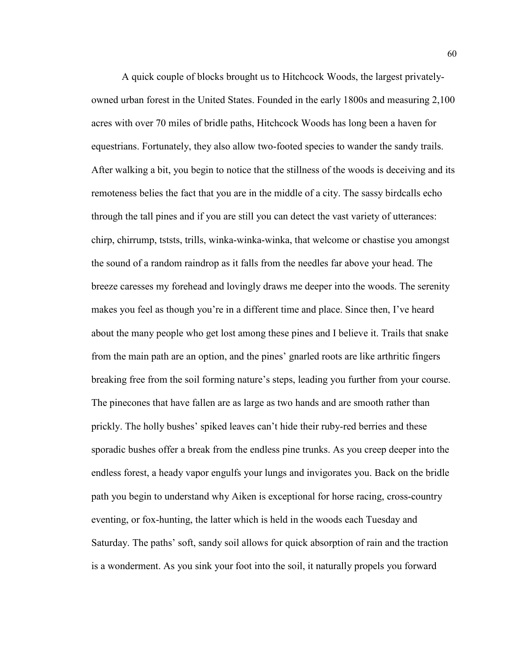A quick couple of blocks brought us to Hitchcock Woods, the largest privatelyowned urban forest in the United States. Founded in the early 1800s and measuring 2,100 acres with over 70 miles of bridle paths, Hitchcock Woods has long been a haven for equestrians. Fortunately, they also allow two-footed species to wander the sandy trails. After walking a bit, you begin to notice that the stillness of the woods is deceiving and its remoteness belies the fact that you are in the middle of a city. The sassy birdcalls echo through the tall pines and if you are still you can detect the vast variety of utterances: chirp, chirrump, tststs, trills, winka-winka-winka, that welcome or chastise you amongst the sound of a random raindrop as it falls from the needles far above your head. The breeze caresses my forehead and lovingly draws me deeper into the woods. The serenity makes you feel as though you're in a different time and place. Since then, I've heard about the many people who get lost among these pines and I believe it. Trails that snake from the main path are an option, and the pines' gnarled roots are like arthritic fingers breaking free from the soil forming nature's steps, leading you further from your course. The pinecones that have fallen are as large as two hands and are smooth rather than prickly. The holly bushes' spiked leaves can't hide their ruby-red berries and these sporadic bushes offer a break from the endless pine trunks. As you creep deeper into the endless forest, a heady vapor engulfs your lungs and invigorates you. Back on the bridle path you begin to understand why Aiken is exceptional for horse racing, cross-country eventing, or fox-hunting, the latter which is held in the woods each Tuesday and Saturday. The paths' soft, sandy soil allows for quick absorption of rain and the traction is a wonderment. As you sink your foot into the soil, it naturally propels you forward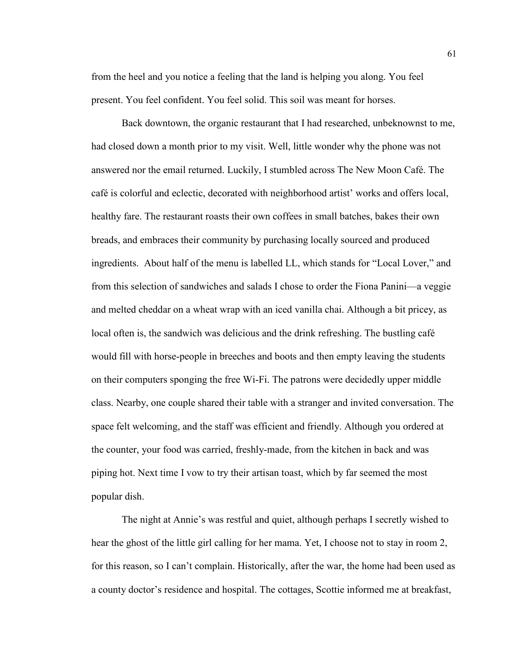from the heel and you notice a feeling that the land is helping you along. You feel present. You feel confident. You feel solid. This soil was meant for horses.

Back downtown, the organic restaurant that I had researched, unbeknownst to me, had closed down a month prior to my visit. Well, little wonder why the phone was not answered nor the email returned. Luckily, I stumbled across The New Moon Café. The café is colorful and eclectic, decorated with neighborhood artist' works and offers local, healthy fare. The restaurant roasts their own coffees in small batches, bakes their own breads, and embraces their community by purchasing locally sourced and produced ingredients. About half of the menu is labelled LL, which stands for "Local Lover," and from this selection of sandwiches and salads I chose to order the Fiona Panini—a veggie and melted cheddar on a wheat wrap with an iced vanilla chai. Although a bit pricey, as local often is, the sandwich was delicious and the drink refreshing. The bustling café would fill with horse-people in breeches and boots and then empty leaving the students on their computers sponging the free Wi-Fi. The patrons were decidedly upper middle class. Nearby, one couple shared their table with a stranger and invited conversation. The space felt welcoming, and the staff was efficient and friendly. Although you ordered at the counter, your food was carried, freshly-made, from the kitchen in back and was piping hot. Next time I vow to try their artisan toast, which by far seemed the most popular dish.

The night at Annie's was restful and quiet, although perhaps I secretly wished to hear the ghost of the little girl calling for her mama. Yet, I choose not to stay in room 2, for this reason, so I can't complain. Historically, after the war, the home had been used as a county doctor's residence and hospital. The cottages, Scottie informed me at breakfast,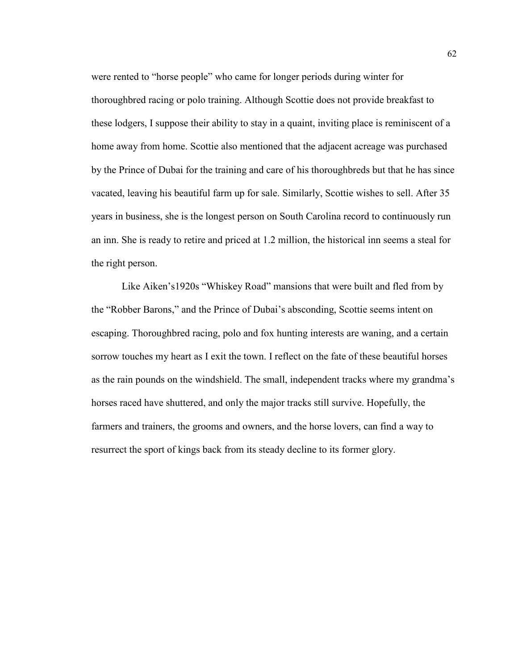were rented to "horse people" who came for longer periods during winter for thoroughbred racing or polo training. Although Scottie does not provide breakfast to these lodgers, I suppose their ability to stay in a quaint, inviting place is reminiscent of a home away from home. Scottie also mentioned that the adjacent acreage was purchased by the Prince of Dubai for the training and care of his thoroughbreds but that he has since vacated, leaving his beautiful farm up for sale. Similarly, Scottie wishes to sell. After 35 years in business, she is the longest person on South Carolina record to continuously run an inn. She is ready to retire and priced at 1.2 million, the historical inn seems a steal for the right person.

Like Aiken's1920s "Whiskey Road" mansions that were built and fled from by the "Robber Barons," and the Prince of Dubai's absconding, Scottie seems intent on escaping. Thoroughbred racing, polo and fox hunting interests are waning, and a certain sorrow touches my heart as I exit the town. I reflect on the fate of these beautiful horses as the rain pounds on the windshield. The small, independent tracks where my grandma's horses raced have shuttered, and only the major tracks still survive. Hopefully, the farmers and trainers, the grooms and owners, and the horse lovers, can find a way to resurrect the sport of kings back from its steady decline to its former glory.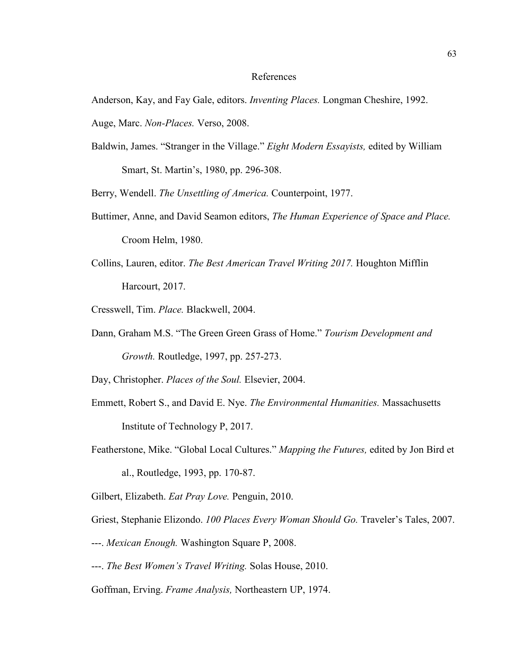#### References

Anderson, Kay, and Fay Gale, editors. *Inventing Places.* Longman Cheshire, 1992.

- Auge, Marc. *Non-Places.* Verso, 2008.
- Baldwin, James. "Stranger in the Village." *Eight Modern Essayists,* edited by William Smart, St. Martin's, 1980, pp. 296-308.

Berry, Wendell. *The Unsettling of America.* Counterpoint, 1977.

- Buttimer, Anne, and David Seamon editors, *The Human Experience of Space and Place.*  Croom Helm, 1980.
- Collins, Lauren, editor. *The Best American Travel Writing 2017.* Houghton Mifflin Harcourt, 2017.
- Cresswell, Tim. *Place.* Blackwell, 2004.
- Dann, Graham M.S. "The Green Green Grass of Home." *Tourism Development and Growth.* Routledge, 1997, pp. 257-273.

Day, Christopher. *Places of the Soul.* Elsevier, 2004.

- Emmett, Robert S., and David E. Nye. *The Environmental Humanities.* Massachusetts Institute of Technology P, 2017.
- Featherstone, Mike. "Global Local Cultures." *Mapping the Futures,* edited by Jon Bird et al., Routledge, 1993, pp. 170-87.

Gilbert, Elizabeth. *Eat Pray Love.* Penguin, 2010.

Griest, Stephanie Elizondo. *100 Places Every Woman Should Go.* Traveler's Tales, 2007.

- ---. *Mexican Enough.* Washington Square P, 2008.
- ---. *The Best Women's Travel Writing.* Solas House, 2010.
- Goffman, Erving. *Frame Analysis,* Northeastern UP, 1974.